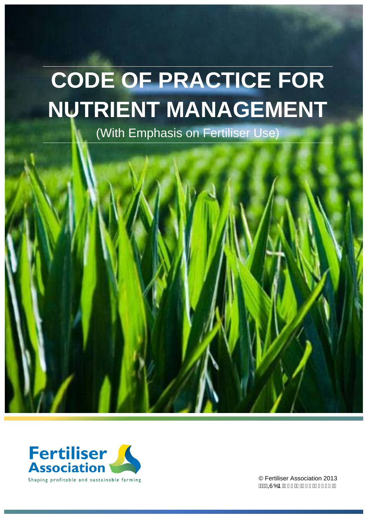# **CODE OF PRACTICE FOR NUTRIENT MANAGEMENT**

(With Emphasis on Fertiliser Use)



© Fertiliser Association 2013 **AWAQ**UÓÞÁJII E<del>EL</del>IIHEGIHIÍEG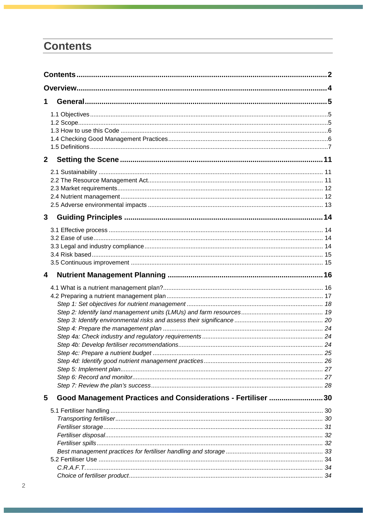# <span id="page-1-0"></span>**Contents**

| 1            |                                                              |  |
|--------------|--------------------------------------------------------------|--|
|              |                                                              |  |
|              |                                                              |  |
|              |                                                              |  |
|              |                                                              |  |
|              |                                                              |  |
| $\mathbf{2}$ |                                                              |  |
|              |                                                              |  |
|              |                                                              |  |
|              |                                                              |  |
|              |                                                              |  |
|              |                                                              |  |
| 3            |                                                              |  |
|              |                                                              |  |
|              |                                                              |  |
|              |                                                              |  |
|              |                                                              |  |
|              |                                                              |  |
| 4            |                                                              |  |
|              |                                                              |  |
|              |                                                              |  |
|              |                                                              |  |
|              |                                                              |  |
|              |                                                              |  |
|              |                                                              |  |
|              |                                                              |  |
|              |                                                              |  |
|              |                                                              |  |
|              |                                                              |  |
|              |                                                              |  |
|              |                                                              |  |
|              |                                                              |  |
| 5            | Good Management Practices and Considerations - Fertiliser 30 |  |
|              |                                                              |  |
|              |                                                              |  |
|              |                                                              |  |
|              |                                                              |  |
|              |                                                              |  |
|              |                                                              |  |
|              |                                                              |  |
|              |                                                              |  |
|              |                                                              |  |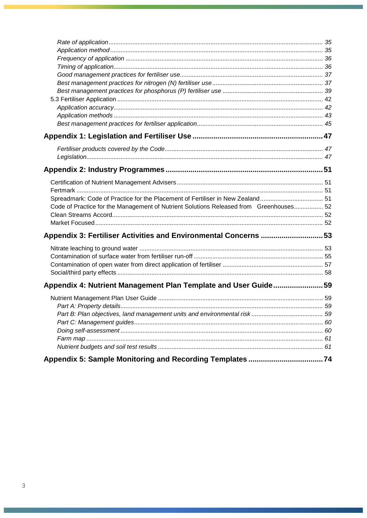| Code of Practice for the Management of Nutrient Solutions Released from Greenhouses 52 |  |
|----------------------------------------------------------------------------------------|--|
|                                                                                        |  |
|                                                                                        |  |
| Appendix 3: Fertiliser Activities and Environmental Concerns 53                        |  |
|                                                                                        |  |
|                                                                                        |  |
|                                                                                        |  |
|                                                                                        |  |
| Appendix 4: Nutrient Management Plan Template and User Guide59                         |  |
|                                                                                        |  |
|                                                                                        |  |
|                                                                                        |  |
|                                                                                        |  |
|                                                                                        |  |
|                                                                                        |  |
|                                                                                        |  |
|                                                                                        |  |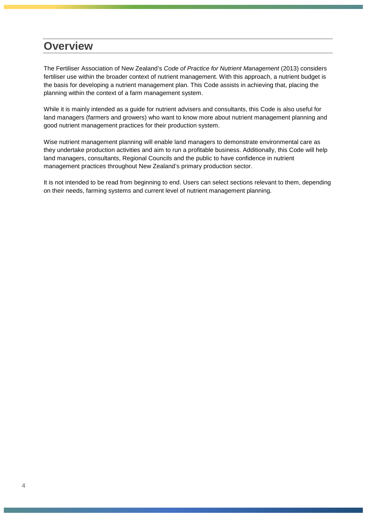# <span id="page-3-0"></span>**Overview**

The Fertiliser Association of New Zealand's *Code of Practice for Nutrient Management* (2013) considers fertiliser use within the broader context of nutrient management. With this approach, a nutrient budget is the basis for developing a nutrient management plan. This Code assists in achieving that, placing the planning within the context of a farm management system.

While it is mainly intended as a guide for nutrient advisers and consultants, this Code is also useful for land managers (farmers and growers) who want to know more about nutrient management planning and good nutrient management practices for their production system.

Wise nutrient management planning will enable land managers to demonstrate environmental care as they undertake production activities and aim to run a profitable business. Additionally, this Code will help land managers, consultants, Regional Councils and the public to have confidence in nutrient management practices throughout New Zealand's primary production sector.

It is not intended to be read from beginning to end. Users can select sections relevant to them, depending on their needs, farming systems and current level of nutrient management planning.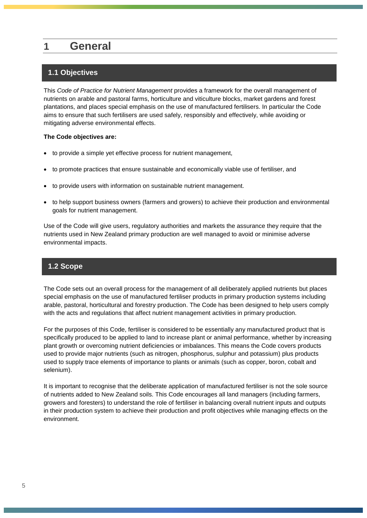# <span id="page-4-0"></span>**1 General**

# <span id="page-4-1"></span>**1.1 Objectives**

This *Code of Practice for Nutrient Management* provides a framework for the overall management of nutrients on arable and pastoral farms, horticulture and viticulture blocks, market gardens and forest plantations, and places special emphasis on the use of manufactured fertilisers. In particular the Code aims to ensure that such fertilisers are used safely, responsibly and effectively, while avoiding or mitigating adverse environmental effects.

#### **The Code objectives are:**

- to provide a simple yet effective process for nutrient management,
- to promote practices that ensure sustainable and economically viable use of fertiliser, and
- to provide users with information on sustainable nutrient management.
- to help support business owners (farmers and growers) to achieve their production and environmental goals for nutrient management.

Use of the Code will give users, regulatory authorities and markets the assurance they require that the nutrients used in New Zealand primary production are well managed to avoid or minimise adverse environmental impacts.

# <span id="page-4-2"></span>**1.2 Scope**

The Code sets out an overall process for the management of all deliberately applied nutrients but places special emphasis on the use of manufactured fertiliser products in primary production systems including arable, pastoral, horticultural and forestry production. The Code has been designed to help users comply with the acts and regulations that affect nutrient management activities in primary production.

For the purposes of this Code, fertiliser is considered to be essentially any manufactured product that is specifically produced to be applied to land to increase plant or animal performance, whether by increasing plant growth or overcoming nutrient deficiencies or imbalances. This means the Code covers products used to provide major nutrients (such as nitrogen, phosphorus, sulphur and potassium) plus products used to supply trace elements of importance to plants or animals (such as copper, boron, cobalt and selenium).

It is important to recognise that the deliberate application of manufactured fertiliser is not the sole source of nutrients added to New Zealand soils. This Code encourages all land managers (including farmers, growers and foresters) to understand the role of fertiliser in balancing overall nutrient inputs and outputs in their production system to achieve their production and profit objectives while managing effects on the environment.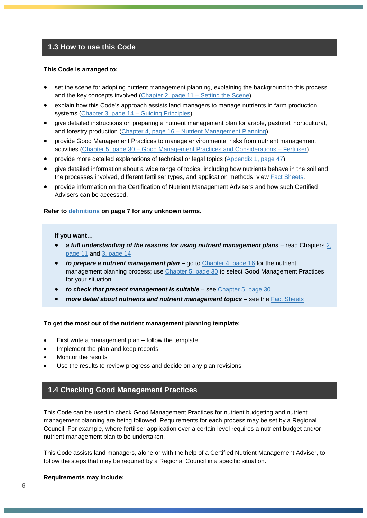#### <span id="page-5-0"></span>**1.3 How to use this Code**

#### **This Code is arranged to:**

- set the scene for adopting nutrient management planning, explaining the background to this process and the key concepts involved [\(Chapter 2, page 11 –](#page-10-0) Setting the Scene)
- explain how this Code's approach assists land managers to manage nutrients in farm production systems [\(Chapter 3, page 14](#page-13-0) – Guiding Principles)
- give detailed instructions on preparing a nutrient management plan for arable, pastoral, horticultural, and forestry production (Chapter 4, page 16 – [Nutrient Management Planning\)](#page-15-0)
- provide Good Management Practices to manage environmental risks from nutrient management activities (Chapter 5, page 30 – [Good Management Practices and Considerations](#page-29-0) – Fertiliser)
- provide more detailed explanations of technical or legal topics [\(Appendix 1, page 47\)](#page-46-0)
- give detailed information about a wide range of topics, including how nutrients behave in the soil and the processes involved, different fertiliser types, and application methods, view [Fact Sheets.](http://fertiliser.org.nz/Site/code_of_practice/fact_sheets/default.aspx)
- provide information on the Certification of Nutrient Management Advisers and how such Certified Advisers can be accessed.

#### **Refer to [definitions](#page--1-0) on page 7 for any unknown terms.**

#### **If you want…**

- *a full understanding of the reasons for using nutrient management plans* read Chapters 2, [page 11](#page-10-0) and [3, page 14](#page-13-0)
- *to prepare a nutrient management plan* go to [Chapter 4, page 16](#page-15-0) for the nutrient management planning process; use [Chapter 5, page 30](#page-29-0) to select Good Management Practices for your situation
- to check that present management is suitable see [Chapter 5, page 30](#page-29-0)
- more detail about nutrients and nutrient management topics see the [Fact Sheets](http://fertiliser.org.nz/Site/code_of_practice/fact_sheets/default.aspx)

#### **To get the most out of the nutrient management planning template:**

- First write a management plan follow the template
- Implement the plan and keep records
- Monitor the results
- <span id="page-5-1"></span>Use the results to review progress and decide on any plan revisions

# **1.4 Checking Good Management Practices**

This Code can be used to check Good Management Practices for nutrient budgeting and nutrient management planning are being followed. Requirements for each process may be set by a Regional Council. For example, where fertiliser application over a certain level requires a nutrient budget and/or nutrient management plan to be undertaken.

This Code assists land managers, alone or with the help of a Certified Nutrient Management Adviser, to follow the steps that may be required by a Regional Council in a specific situation.

#### **Requirements may include:**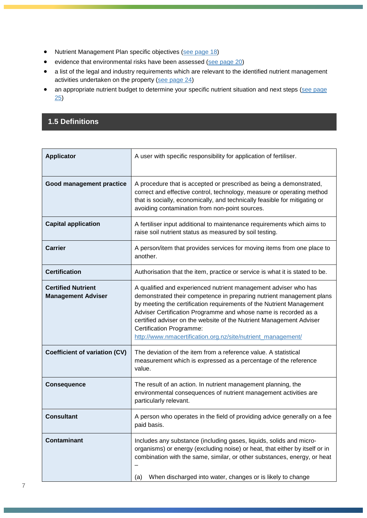- Nutrient Management Plan specific objectives [\(see page 18\)](#page--1-2)
- evidence that environmental risks have been assessed [\(see page 20\)](#page--1-3)
- a list of the legal and industry requirements which are relevant to the identified nutrient management activities undertaken on the property [\(see page 24\)](#page--1-4)
- an appropriate nutrient budget to determine your specific nutrient situation and next steps (see page [25\)](#page--1-5)

# **1.5 Definitions**

| <b>Applicator</b>                                      | A user with specific responsibility for application of fertiliser.                                                                                                                                                                                                                                                                                                                                                                                           |  |
|--------------------------------------------------------|--------------------------------------------------------------------------------------------------------------------------------------------------------------------------------------------------------------------------------------------------------------------------------------------------------------------------------------------------------------------------------------------------------------------------------------------------------------|--|
| Good management practice                               | A procedure that is accepted or prescribed as being a demonstrated,<br>correct and effective control, technology, measure or operating method<br>that is socially, economically, and technically feasible for mitigating or<br>avoiding contamination from non-point sources.                                                                                                                                                                                |  |
| <b>Capital application</b>                             | A fertiliser input additional to maintenance requirements which aims to<br>raise soil nutrient status as measured by soil testing.                                                                                                                                                                                                                                                                                                                           |  |
| <b>Carrier</b>                                         | A person/item that provides services for moving items from one place to<br>another.                                                                                                                                                                                                                                                                                                                                                                          |  |
| <b>Certification</b>                                   | Authorisation that the item, practice or service is what it is stated to be.                                                                                                                                                                                                                                                                                                                                                                                 |  |
| <b>Certified Nutrient</b><br><b>Management Adviser</b> | A qualified and experienced nutrient management adviser who has<br>demonstrated their competence in preparing nutrient management plans<br>by meeting the certification requirements of the Nutrient Management<br>Adviser Certification Programme and whose name is recorded as a<br>certified adviser on the website of the Nutrient Management Adviser<br><b>Certification Programme:</b><br>http://www.nmacertification.org.nz/site/nutrient_management/ |  |
| <b>Coefficient of variation (CV)</b>                   | The deviation of the item from a reference value. A statistical<br>measurement which is expressed as a percentage of the reference<br>value.                                                                                                                                                                                                                                                                                                                 |  |
| <b>Consequence</b>                                     | The result of an action. In nutrient management planning, the<br>environmental consequences of nutrient management activities are<br>particularly relevant.                                                                                                                                                                                                                                                                                                  |  |
| <b>Consultant</b>                                      | A person who operates in the field of providing advice generally on a fee<br>paid basis.                                                                                                                                                                                                                                                                                                                                                                     |  |
| <b>Contaminant</b>                                     | Includes any substance (including gases, liquids, solids and micro-<br>organisms) or energy (excluding noise) or heat, that either by itself or in<br>combination with the same, similar, or other substances, energy, or heat<br>When discharged into water, changes or is likely to change<br>(a)                                                                                                                                                          |  |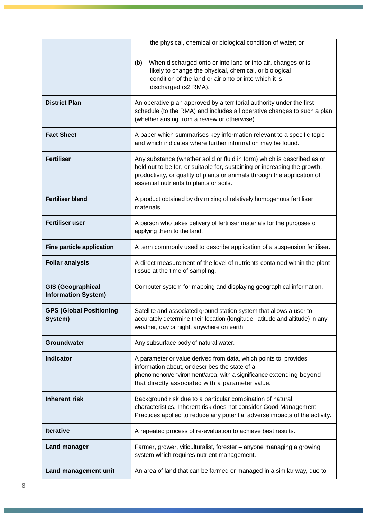|                                                        | the physical, chemical or biological condition of water; or                                                                                                                                                                                                                 |  |  |
|--------------------------------------------------------|-----------------------------------------------------------------------------------------------------------------------------------------------------------------------------------------------------------------------------------------------------------------------------|--|--|
|                                                        | When discharged onto or into land or into air, changes or is<br>(b)<br>likely to change the physical, chemical, or biological<br>condition of the land or air onto or into which it is<br>discharged (s2 RMA).                                                              |  |  |
| <b>District Plan</b>                                   | An operative plan approved by a territorial authority under the first<br>schedule (to the RMA) and includes all operative changes to such a plan<br>(whether arising from a review or otherwise).                                                                           |  |  |
| <b>Fact Sheet</b>                                      | A paper which summarises key information relevant to a specific topic<br>and which indicates where further information may be found.                                                                                                                                        |  |  |
| <b>Fertiliser</b>                                      | Any substance (whether solid or fluid in form) which is described as or<br>held out to be for, or suitable for, sustaining or increasing the growth,<br>productivity, or quality of plants or animals through the application of<br>essential nutrients to plants or soils. |  |  |
| <b>Fertiliser blend</b>                                | A product obtained by dry mixing of relatively homogenous fertiliser<br>materials.                                                                                                                                                                                          |  |  |
| <b>Fertiliser user</b>                                 | A person who takes delivery of fertiliser materials for the purposes of<br>applying them to the land.                                                                                                                                                                       |  |  |
| <b>Fine particle application</b>                       | A term commonly used to describe application of a suspension fertiliser.                                                                                                                                                                                                    |  |  |
| <b>Foliar analysis</b>                                 | A direct measurement of the level of nutrients contained within the plant<br>tissue at the time of sampling.                                                                                                                                                                |  |  |
| <b>GIS (Geographical</b><br><b>Information System)</b> | Computer system for mapping and displaying geographical information.                                                                                                                                                                                                        |  |  |
| <b>GPS (Global Positioning</b><br>System)              | Satellite and associated ground station system that allows a user to<br>accurately determine their location (longitude, latitude and altitude) in any<br>weather, day or night, anywhere on earth.                                                                          |  |  |
| Groundwater                                            | Any subsurface body of natural water.                                                                                                                                                                                                                                       |  |  |
| <b>Indicator</b>                                       | A parameter or value derived from data, which points to, provides<br>information about, or describes the state of a<br>phenomenon/environment/area, with a significance extending beyond<br>that directly associated with a parameter value.                                |  |  |
| <b>Inherent risk</b>                                   | Background risk due to a particular combination of natural<br>characteristics. Inherent risk does not consider Good Management<br>Practices applied to reduce any potential adverse impacts of the activity.                                                                |  |  |
| <b>Iterative</b>                                       | A repeated process of re-evaluation to achieve best results.                                                                                                                                                                                                                |  |  |
| <b>Land manager</b>                                    | Farmer, grower, viticulturalist, forester - anyone managing a growing<br>system which requires nutrient management.                                                                                                                                                         |  |  |
| Land management unit                                   | An area of land that can be farmed or managed in a similar way, due to                                                                                                                                                                                                      |  |  |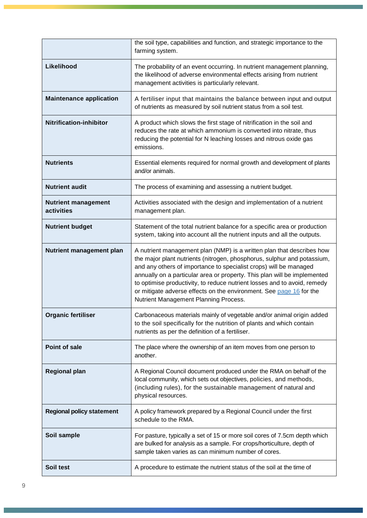|                                          | the soil type, capabilities and function, and strategic importance to the<br>farming system.                                                                                                                                                                                                                                                                                                                                                                                                  |  |
|------------------------------------------|-----------------------------------------------------------------------------------------------------------------------------------------------------------------------------------------------------------------------------------------------------------------------------------------------------------------------------------------------------------------------------------------------------------------------------------------------------------------------------------------------|--|
| Likelihood                               | The probability of an event occurring. In nutrient management planning,<br>the likelihood of adverse environmental effects arising from nutrient<br>management activities is particularly relevant.                                                                                                                                                                                                                                                                                           |  |
| <b>Maintenance application</b>           | A fertiliser input that maintains the balance between input and output<br>of nutrients as measured by soil nutrient status from a soil test.                                                                                                                                                                                                                                                                                                                                                  |  |
| <b>Nitrification-inhibitor</b>           | A product which slows the first stage of nitrification in the soil and<br>reduces the rate at which ammonium is converted into nitrate, thus<br>reducing the potential for N leaching losses and nitrous oxide gas<br>emissions.                                                                                                                                                                                                                                                              |  |
| <b>Nutrients</b>                         | Essential elements required for normal growth and development of plants<br>and/or animals.                                                                                                                                                                                                                                                                                                                                                                                                    |  |
| <b>Nutrient audit</b>                    | The process of examining and assessing a nutrient budget.                                                                                                                                                                                                                                                                                                                                                                                                                                     |  |
| <b>Nutrient management</b><br>activities | Activities associated with the design and implementation of a nutrient<br>management plan.                                                                                                                                                                                                                                                                                                                                                                                                    |  |
| <b>Nutrient budget</b>                   | Statement of the total nutrient balance for a specific area or production<br>system, taking into account all the nutrient inputs and all the outputs.                                                                                                                                                                                                                                                                                                                                         |  |
| Nutrient management plan                 | A nutrient management plan (NMP) is a written plan that describes how<br>the major plant nutrients (nitrogen, phosphorus, sulphur and potassium,<br>and any others of importance to specialist crops) will be managed<br>annually on a particular area or property. This plan will be implemented<br>to optimise productivity, to reduce nutrient losses and to avoid, remedy<br>or mitigate adverse effects on the environment. See page 16 for the<br>Nutrient Management Planning Process. |  |
| <b>Organic fertiliser</b>                | Carbonaceous materials mainly of vegetable and/or animal origin added<br>to the soil specifically for the nutrition of plants and which contain<br>nutrients as per the definition of a fertiliser.                                                                                                                                                                                                                                                                                           |  |
| Point of sale                            | The place where the ownership of an item moves from one person to<br>another.                                                                                                                                                                                                                                                                                                                                                                                                                 |  |
| <b>Regional plan</b>                     | A Regional Council document produced under the RMA on behalf of the<br>local community, which sets out objectives, policies, and methods,<br>(including rules), for the sustainable management of natural and<br>physical resources.                                                                                                                                                                                                                                                          |  |
| <b>Regional policy statement</b>         | A policy framework prepared by a Regional Council under the first<br>schedule to the RMA.                                                                                                                                                                                                                                                                                                                                                                                                     |  |
| Soil sample                              | For pasture, typically a set of 15 or more soil cores of 7.5cm depth which<br>are bulked for analysis as a sample. For crops/horticulture, depth of<br>sample taken varies as can minimum number of cores.                                                                                                                                                                                                                                                                                    |  |
| Soil test                                | A procedure to estimate the nutrient status of the soil at the time of                                                                                                                                                                                                                                                                                                                                                                                                                        |  |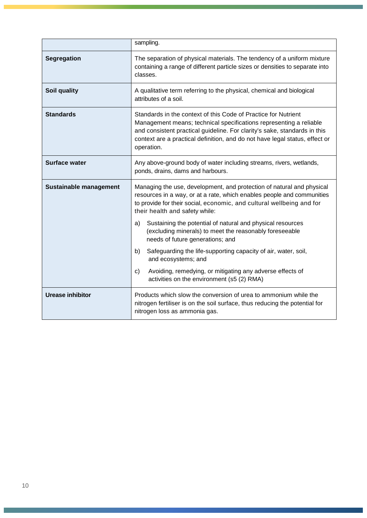|                         | sampling.                                                                                                                                                                                                                                                                                                      |  |  |
|-------------------------|----------------------------------------------------------------------------------------------------------------------------------------------------------------------------------------------------------------------------------------------------------------------------------------------------------------|--|--|
| Segregation             | The separation of physical materials. The tendency of a uniform mixture<br>containing a range of different particle sizes or densities to separate into<br>classes.                                                                                                                                            |  |  |
| Soil quality            | A qualitative term referring to the physical, chemical and biological<br>attributes of a soil.                                                                                                                                                                                                                 |  |  |
| <b>Standards</b>        | Standards in the context of this Code of Practice for Nutrient<br>Management means; technical specifications representing a reliable<br>and consistent practical guideline. For clarity's sake, standards in this<br>context are a practical definition, and do not have legal status, effect or<br>operation. |  |  |
| <b>Surface water</b>    | Any above-ground body of water including streams, rivers, wetlands,<br>ponds, drains, dams and harbours.                                                                                                                                                                                                       |  |  |
| Sustainable management  | Managing the use, development, and protection of natural and physical<br>resources in a way, or at a rate, which enables people and communities<br>to provide for their social, economic, and cultural wellbeing and for<br>their health and safety while:                                                     |  |  |
|                         | Sustaining the potential of natural and physical resources<br>a)<br>(excluding minerals) to meet the reasonably foreseeable<br>needs of future generations; and                                                                                                                                                |  |  |
|                         | b)<br>Safeguarding the life-supporting capacity of air, water, soil,<br>and ecosystems; and                                                                                                                                                                                                                    |  |  |
|                         | Avoiding, remedying, or mitigating any adverse effects of<br>C)<br>activities on the environment (s5 (2) RMA)                                                                                                                                                                                                  |  |  |
| <b>Urease inhibitor</b> | Products which slow the conversion of urea to ammonium while the<br>nitrogen fertiliser is on the soil surface, thus reducing the potential for<br>nitrogen loss as ammonia gas.                                                                                                                               |  |  |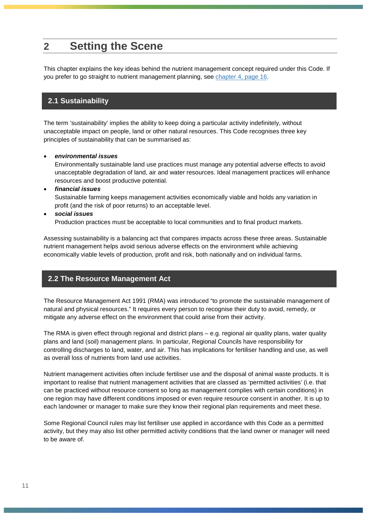# <span id="page-10-0"></span>**2 Setting the Scene**

<span id="page-10-1"></span>This chapter explains the key ideas behind the nutrient management concept required under this Code. If you prefer to go straight to nutrient management planning, see [chapter 4, page 16.](#page-15-0)

## **2.1 Sustainability**

The term 'sustainability' implies the ability to keep doing a particular activity indefinitely, without unacceptable impact on people, land or other natural resources. This Code recognises three key principles of sustainability that can be summarised as:

#### • *environmental issues*

Environmentally sustainable land use practices must manage any potential adverse effects to avoid unacceptable degradation of land, air and water resources. Ideal management practices will enhance resources and boost productive potential.

• *financial issues*

Sustainable farming keeps management activities economically viable and holds any variation in profit (and the risk of poor returns) to an acceptable level.

• *social issues*

Production practices must be acceptable to local communities and to final product markets.

Assessing sustainability is a balancing act that compares impacts across these three areas. Sustainable nutrient management helps avoid serious adverse effects on the environment while achieving economically viable levels of production, profit and risk, both nationally and on individual farms.

#### <span id="page-10-2"></span>**2.2 The Resource Management Act**

The Resource Management Act 1991 (RMA) was introduced "to promote the sustainable management of natural and physical resources." It requires every person to recognise their duty to avoid, remedy, or mitigate any adverse effect on the environment that could arise from their activity.

The RMA is given effect through regional and district plans – e.g. regional air quality plans, water quality plans and land (soil) management plans. In particular, Regional Councils have responsibility for controlling discharges to land, water, and air. This has implications for fertiliser handling and use, as well as overall loss of nutrients from land use activities.

Nutrient management activities often include fertiliser use and the disposal of animal waste products. It is important to realise that nutrient management activities that are classed as 'permitted activities' (i.e. that can be practiced without resource consent so long as management complies with certain conditions) in one region may have different conditions imposed or even require resource consent in another. It is up to each landowner or manager to make sure they know their regional plan requirements and meet these.

Some Regional Council rules may list fertiliser use applied in accordance with this Code as a permitted activity, but they may also list other permitted activity conditions that the land owner or manager will need to be aware of.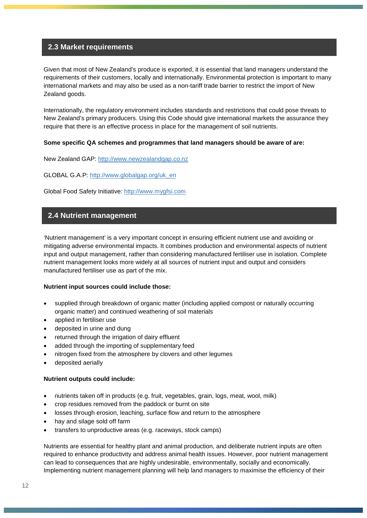#### <span id="page-11-0"></span>**2.3 Market requirements**

Given that most of New Zealand's produce is exported, it is essential that land managers understand the requirements of their customers, locally and internationally. Environmental protection is important to many international markets and may also be used as a non-tariff trade barrier to restrict the import of New Zealand goods.

Internationally, the regulatory environment includes standards and restrictions that could pose threats to New Zealand's primary producers. Using this Code should give international markets the assurance they require that there is an effective process in place for the management of soil nutrients.

#### **Some specific QA schemes and programmes that land managers should be aware of are:**

New Zealand GAP: [http://www.newzealandgap.co.nz](http://www.newzealandgap.co.nz/)

GLOBAL G.A.P: [http://www.globalgap.org/uk\\_en](http://www.globalgap.org/uk_en/)

<span id="page-11-1"></span>Global Food Safety Initiative: [http://www.mygfsi.com](http://www.mygfsi.com/)

## **2.4 Nutrient management**

'Nutrient management' is a very important concept in ensuring efficient nutrient use and avoiding or mitigating adverse environmental impacts. It combines production and environmental aspects of nutrient input and output management, rather than considering manufactured fertiliser use in isolation. Complete nutrient management looks more widely at all sources of nutrient input and output and considers manufactured fertiliser use as part of the mix.

#### **Nutrient input sources could include those:**

- supplied through breakdown of organic matter (including applied compost or naturally occurring organic matter) and continued weathering of soil materials
- applied in fertiliser use
- deposited in urine and dung
- returned through the irrigation of dairy effluent
- added through the importing of supplementary feed
- nitrogen fixed from the atmosphere by clovers and other legumes
- deposited aerially

#### **Nutrient outputs could include:**

- nutrients taken off in products (e.g. fruit, vegetables, grain, logs, meat, wool, milk)
- crop residues removed from the paddock or burnt on site
- losses through erosion, leaching, surface flow and return to the atmosphere
- hay and silage sold off farm
- transfers to unproductive areas (e.g. raceways, stock camps)

Nutrients are essential for healthy plant and animal production, and deliberate nutrient inputs are often required to enhance productivity and address animal health issues. However, poor nutrient management can lead to consequences that are highly undesirable, environmentally, socially and economically. Implementing nutrient management planning will help land managers to maximise the efficiency of their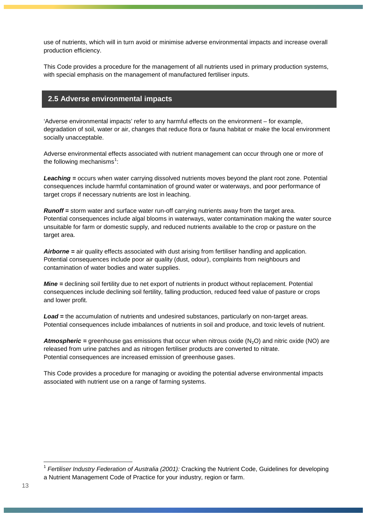use of nutrients, which will in turn avoid or minimise adverse environmental impacts and increase overall production efficiency.

This Code provides a procedure for the management of all nutrients used in primary production systems, with special emphasis on the management of manufactured fertiliser inputs.

## <span id="page-12-0"></span>**2.5 Adverse environmental impacts**

'Adverse environmental impacts' refer to any harmful effects on the environment – for example, degradation of soil, water or air, changes that reduce flora or fauna habitat or make the local environment socially unacceptable.

Adverse environmental effects associated with nutrient management can occur through one or more of the following mechanisms<sup>[1](#page-12-1)</sup>:

*Leaching =* occurs when water carrying dissolved nutrients moves beyond the plant root zone. Potential consequences include harmful contamination of ground water or waterways, and poor performance of target crops if necessary nutrients are lost in leaching.

*Runoff =* storm water and surface water run-off carrying nutrients away from the target area. Potential consequences include algal blooms in waterways, water contamination making the water source unsuitable for farm or domestic supply, and reduced nutrients available to the crop or pasture on the target area.

*Airborne =* air quality effects associated with dust arising from fertiliser handling and application. Potential consequences include poor air quality (dust, odour), complaints from neighbours and contamination of water bodies and water supplies.

*Mine* = declining soil fertility due to net export of nutrients in product without replacement. Potential consequences include declining soil fertility, falling production, reduced feed value of pasture or crops and lower profit.

*Load =* the accumulation of nutrients and undesired substances, particularly on non-target areas*.* Potential consequences include imbalances of nutrients in soil and produce, and toxic levels of nutrient.

*Atmospheric* = greenhouse gas emissions that occur when nitrous oxide (N<sub>2</sub>O) and nitric oxide (NO) are released from urine patches and as nitrogen fertiliser products are converted to nitrate. Potential consequences are increased emission of greenhouse gases.

This Code provides a procedure for managing or avoiding the potential adverse environmental impacts associated with nutrient use on a range of farming systems.

<span id="page-12-1"></span> <sup>1</sup> *Fertiliser Industry Federation of Australia (2001):* Cracking the Nutrient Code, Guidelines for developing a Nutrient Management Code of Practice for your industry, region or farm.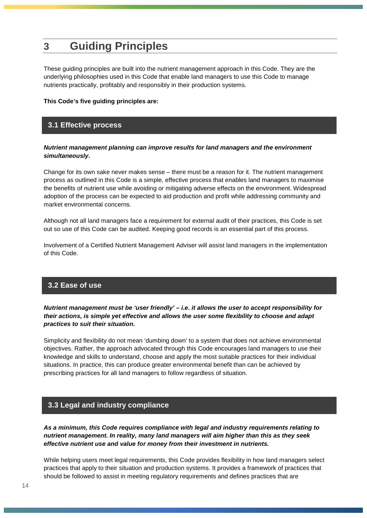# <span id="page-13-0"></span>**3 Guiding Principles**

These guiding principles are built into the nutrient management approach in this Code. They are the underlying philosophies used in this Code that enable land managers to use this Code to manage nutrients practically, profitably and responsibly in their production systems.

#### <span id="page-13-1"></span>**This Code's five guiding principles are:**

## **3.1 Effective process**

#### *Nutrient management planning can improve results for land managers and the environment simultaneously.*

Change for its own sake never makes sense – there must be a reason for it. The nutrient management process as outlined in this Code is a simple, effective process that enables land managers to maximise the benefits of nutrient use while avoiding or mitigating adverse effects on the environment. Widespread adoption of the process can be expected to aid production and profit while addressing community and market environmental concerns.

Although not all land managers face a requirement for external audit of their practices, this Code is set out so use of this Code can be audited. Keeping good records is an essential part of this process.

Involvement of a Certified Nutrient Management Adviser will assist land managers in the implementation of this Code.

#### <span id="page-13-2"></span>**3.2 Ease of use**

*Nutrient management must be 'user friendly' – i.e. it allows the user to accept responsibility for their actions, is simple yet effective and allows the user some flexibility to choose and adapt practices to suit their situation.*

Simplicity and flexibility do not mean 'dumbing down' to a system that does not achieve environmental objectives. Rather, the approach advocated through this Code encourages land managers to use their knowledge and skills to understand, choose and apply the most suitable practices for their individual situations. In practice, this can produce greater environmental benefit than can be achieved by prescribing practices for all land managers to follow regardless of situation.

# <span id="page-13-3"></span>**3.3 Legal and industry compliance**

*As a minimum, this Code requires compliance with legal and industry requirements relating to nutrient management. In reality, many land managers will aim higher than this as they seek effective nutrient use and value for money from their investment in nutrients.*

While helping users meet legal requirements, this Code provides flexibility in how land managers select practices that apply to their situation and production systems. It provides a framework of practices that should be followed to assist in meeting regulatory requirements and defines practices that are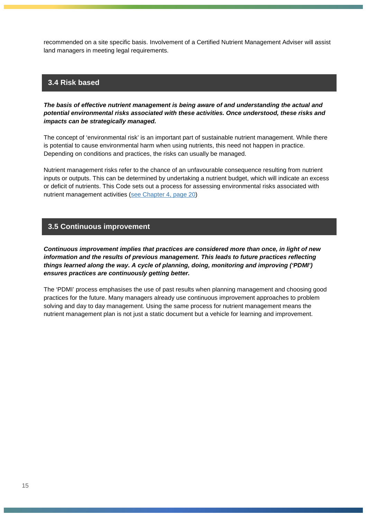recommended on a site specific basis. Involvement of a Certified Nutrient Management Adviser will assist land managers in meeting legal requirements.

#### <span id="page-14-0"></span>**3.4 Risk based**

*The basis of effective nutrient management is being aware of and understanding the actual and potential environmental risks associated with these activities. Once understood, these risks and impacts can be strategically managed.*

The concept of 'environmental risk' is an important part of sustainable nutrient management. While there is potential to cause environmental harm when using nutrients, this need not happen in practice. Depending on conditions and practices, the risks can usually be managed.

Nutrient management risks refer to the chance of an unfavourable consequence resulting from nutrient inputs or outputs. This can be determined by undertaking a nutrient budget, which will indicate an excess or deficit of nutrients. This Code sets out a process for assessing environmental risks associated with nutrient management activities [\(see Chapter 4, page 20\)](#page-19-0)

## <span id="page-14-1"></span>**3.5 Continuous improvement**

*Continuous improvement implies that practices are considered more than once, in light of new information and the results of previous management. This leads to future practices reflecting things learned along the way. A cycle of planning, doing, monitoring and improving ('PDMI') ensures practices are continuously getting better.*

The 'PDMI' process emphasises the use of past results when planning management and choosing good practices for the future. Many managers already use continuous improvement approaches to problem solving and day to day management. Using the same process for nutrient management means the nutrient management plan is not just a static document but a vehicle for learning and improvement.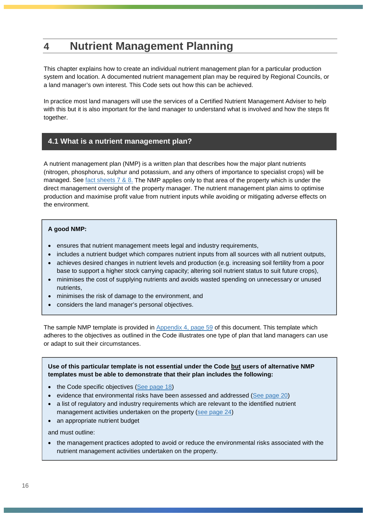# <span id="page-15-0"></span>**4 Nutrient Management Planning**

This chapter explains how to create an individual nutrient management plan for a particular production system and location. A documented nutrient management plan may be required by Regional Councils, or a land manager's own interest. This Code sets out how this can be achieved.

In practice most land managers will use the services of a Certified Nutrient Management Adviser to help with this but it is also important for the land manager to understand what is involved and how the steps fit together.

## <span id="page-15-1"></span>**4.1 What is a nutrient management plan?**

A nutrient management plan (NMP) is a written plan that describes how the major plant nutrients (nitrogen, phosphorus, sulphur and potassium, and any others of importance to specialist crops) will be managed. See [fact sheets 7 & 8.](http://fertiliser.org.nz/Site/code_of_practice/fact_sheets/default.aspx) The NMP applies only to that area of the property which is under the direct management oversight of the property manager. The nutrient management plan aims to optimise production and maximise profit value from nutrient inputs while avoiding or mitigating adverse effects on the environment.

#### **A good NMP:**

- ensures that nutrient management meets legal and industry requirements,
- includes a nutrient budget which compares nutrient inputs from all sources with all nutrient outputs,
- achieves desired changes in nutrient levels and production (e.g. increasing soil fertility from a poor base to support a higher stock carrying capacity; altering soil nutrient status to suit future crops),
- minimises the cost of supplying nutrients and avoids wasted spending on unnecessary or unused nutrients,
- minimises the risk of damage to the environment, and
- considers the land manager's personal objectives.

The sample NMP template is provided in [Appendix 4, page 59](#page-58-0) of this document. This template which adheres to the objectives as outlined in the Code illustrates one type of plan that land managers can use or adapt to suit their circumstances.

**Use of this particular template is not essential under the Code but users of alternative NMP templates must be able to demonstrate that their plan includes the following:**

- the Code specific objectives [\(See page](#page-16-1) 18)
- evidence that environmental risks have been assessed and addressed [\(See page](#page-19-0) 20)
- a list of regulatory and industry requirements which are relevant to the identified nutrient management activities undertaken on the property [\(see page](#page-23-1) 24)
- an appropriate nutrient budget

and must outline:

• the management practices adopted to avoid or reduce the environmental risks associated with the nutrient management activities undertaken on the property.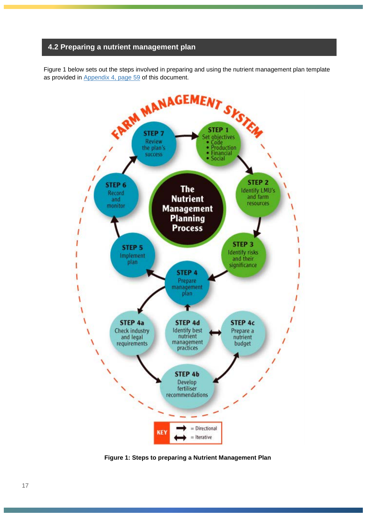#### <span id="page-16-0"></span>**4.2 Preparing a nutrient management plan**

Figure 1 below sets out the steps involved in preparing and using the nutrient management plan template as provided in [Appendix 4, page 59](#page-58-0) of this document.



<span id="page-16-1"></span>**Figure 1: Steps to preparing a Nutrient Management Plan**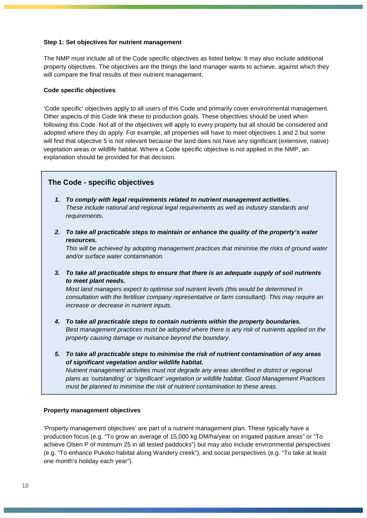#### <span id="page-17-0"></span>**Step 1: Set objectives for nutrient management**

The NMP must include all of the Code specific objectives as listed below. It may also include additional property objectives. The objectives are the things the land manager wants to achieve, against which they will compare the final results of their nutrient management.

#### **Code specific objectives**

'Code specific' objectives apply to all users of this Code and primarily cover environmental management. Other aspects of this Code link these to production goals. These objectives should be used when following this Code. Not all of the objectives will apply to every property but all should be considered and adopted where they do apply. For example, all properties will have to meet objectives 1 and 2 but some will find that objective 5 is not relevant because the land does not have any significant (extensive, native) vegetation areas or wildlife habitat. Where a Code specific objective is not applied in the NMP, an explanation should be provided for that decision.

#### **The Code - specific objectives**

- *1. To comply with legal requirements related to nutrient management activities. These include national and regional legal requirements as well as industry standards and requirements.*
- *2. To take all practicable steps to maintain or enhance the quality of the property's water resources.*

*This will be achieved by adopting management practices that minimise the risks of ground water and/or surface water contamination.*

*3. To take all practicable steps to ensure that there is an adequate supply of soil nutrients to meet plant needs.*

*Most land managers expect to optimise soil nutrient levels (this would be determined in consultation with the fertiliser company representative or farm consultant). This may require an increase or decrease in nutrient inputs.*

- *4. To take all practicable steps to contain nutrients within the property boundaries. Best management practices must be adopted where there is any risk of nutrients applied on the property causing damage or nuisance beyond the boundary.*
- *5. To take all practicable steps to minimise the risk of nutrient contamination of any areas of significant vegetation and/or wildlife habitat. Nutrient management activities must not degrade any areas identified in district or regional*

*plans as 'outstanding' or 'significant' vegetation or wildlife habitat. Good Management Practices must be planned to minimise the risk of nutrient contamination to these areas.*

#### **Property management objectives**

'Property management objectives' are part of a nutrient management plan. These typically have a production focus (e.g. "To grow an average of 15,000 kg DM/ha/year on irrigated pasture areas" or "To achieve Olsen P of minimum 25 in all tested paddocks") but may also include environmental perspectives (e.g. "To enhance Pukeko habitat along Wandery creek"), and social perspectives (e.g. "To take at least one month's holiday each year").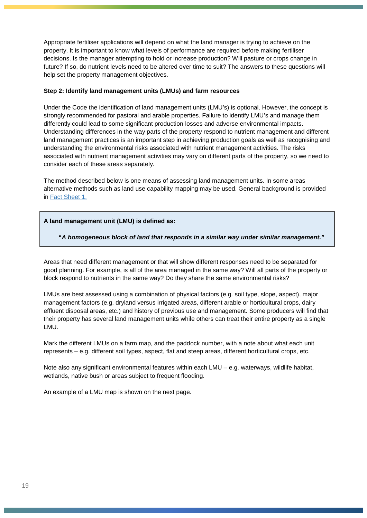Appropriate fertiliser applications will depend on what the land manager is trying to achieve on the property. It is important to know what levels of performance are required before making fertiliser decisions. Is the manager attempting to hold or increase production? Will pasture or crops change in future? If so, do nutrient levels need to be altered over time to suit? The answers to these questions will help set the property management objectives.

#### <span id="page-18-0"></span>**Step 2: Identify land management units (LMUs) and farm resources**

Under the Code the identification of land management units (LMU's) is optional. However, the concept is strongly recommended for pastoral and arable properties. Failure to identify LMU's and manage them differently could lead to some significant production losses and adverse environmental impacts. Understanding differences in the way parts of the property respond to nutrient management and different land management practices is an important step in achieving production goals as well as recognising and understanding the environmental risks associated with nutrient management activities. The risks associated with nutrient management activities may vary on different parts of the property, so we need to consider each of these areas separately.

The method described below is one means of assessing land management units. In some areas alternative methods such as land use capability mapping may be used. General background is provided in [Fact Sheet](http://fertiliser.org.nz/Site/code_of_practice/fact_sheets/default.aspx) 1.

#### **A land management unit (LMU) is defined as:**

**"***A homogeneous block of land that responds in a similar way under similar management."*

Areas that need different management or that will show different responses need to be separated for good planning. For example, is all of the area managed in the same way? Will all parts of the property or block respond to nutrients in the same way? Do they share the same environmental risks?

LMUs are best assessed using a combination of physical factors (e.g. soil type, slope, aspect), major management factors (e.g. dryland versus irrigated areas, different arable or horticultural crops, dairy effluent disposal areas, etc.) and history of previous use and management. Some producers will find that their property has several land management units while others can treat their entire property as a single LMU.

Mark the different LMUs on a farm map, and the paddock number, with a note about what each unit represents – e.g. different soil types, aspect, flat and steep areas, different horticultural crops, etc.

Note also any significant environmental features within each LMU – e.g. waterways, wildlife habitat, wetlands, native bush or areas subject to frequent flooding.

An example of a LMU map is shown on the next page.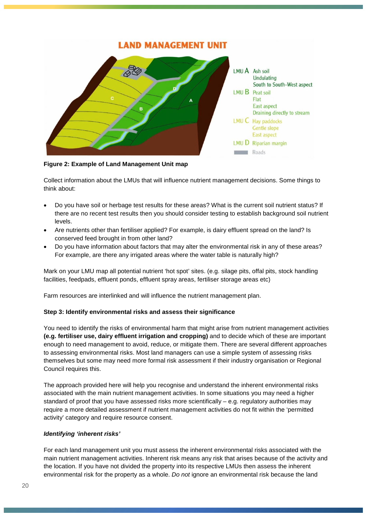

**Figure 2: Example of Land Management Unit map**

Collect information about the LMUs that will influence nutrient management decisions. Some things to think about:

- Do you have soil or herbage test results for these areas? What is the current soil nutrient status? If there are no recent test results then you should consider testing to establish background soil nutrient levels.
- Are nutrients other than fertiliser applied? For example, is dairy effluent spread on the land? Is conserved feed brought in from other land?
- Do you have information about factors that may alter the environmental risk in any of these areas? For example, are there any irrigated areas where the water table is naturally high?

Mark on your LMU map all potential nutrient 'hot spot' sites. (e.g. silage pits, offal pits, stock handling facilities, feedpads, effluent ponds, effluent spray areas, fertiliser storage areas etc)

Farm resources are interlinked and will influence the nutrient management plan.

#### <span id="page-19-0"></span>**Step 3: Identify environmental risks and assess their significance**

You need to identify the risks of environmental harm that might arise from nutrient management activities **(e.g. fertiliser use, dairy effluent irrigation and cropping)** and to decide which of these are important enough to need management to avoid, reduce, or mitigate them. There are several different approaches to assessing environmental risks. Most land managers can use a simple system of assessing risks themselves but some may need more formal risk assessment if their industry organisation or Regional Council requires this.

The approach provided here will help you recognise and understand the inherent environmental risks associated with the main nutrient management activities. In some situations you may need a higher standard of proof that you have assessed risks more scientifically – e.g. regulatory authorities may require a more detailed assessment if nutrient management activities do not fit within the 'permitted activity' category and require resource consent.

#### *Identifying 'inherent risks'*

For each land management unit you must assess the inherent environmental risks associated with the main nutrient management activities. Inherent risk means any risk that arises because of the activity and the location. If you have not divided the property into its respective LMUs then assess the inherent environmental risk for the property as a whole. *Do not* ignore an environmental risk because the land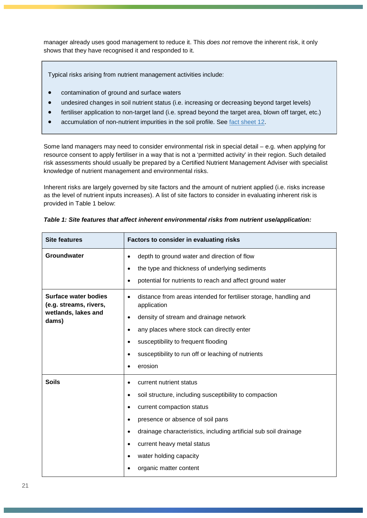manager already uses good management to reduce it. This *does not* remove the inherent risk, it only shows that they have recognised it and responded to it.

Typical risks arising from nutrient management activities include:

- contamination of ground and surface waters
- undesired changes in soil nutrient status (i.e. increasing or decreasing beyond target levels)
- fertiliser application to non-target land (i.e. spread beyond the target area, blown off target, etc.)
- accumulation of non-nutrient impurities in the soil profile. See [fact sheet 12.](http://fertiliser.org.nz/Site/code_of_practice/fact_sheets/default.aspx)

Some land managers may need to consider environmental risk in special detail – e.g. when applying for resource consent to apply fertiliser in a way that is not a 'permitted activity' in their region. Such detailed risk assessments should usually be prepared by a Certified Nutrient Management Adviser with specialist knowledge of nutrient management and environmental risks.

Inherent risks are largely governed by site factors and the amount of nutrient applied (i.e. risks increase as the level of nutrient inputs increases). A list of site factors to consider in evaluating inherent risk is provided in Table 1 below:

| <b>Site features</b>                                                                                                                                                                                                                                                                                                                                                                                     | Factors to consider in evaluating risks                                                                                                                                                                                                                                                                                                                                                |  |  |
|----------------------------------------------------------------------------------------------------------------------------------------------------------------------------------------------------------------------------------------------------------------------------------------------------------------------------------------------------------------------------------------------------------|----------------------------------------------------------------------------------------------------------------------------------------------------------------------------------------------------------------------------------------------------------------------------------------------------------------------------------------------------------------------------------------|--|--|
| Groundwater                                                                                                                                                                                                                                                                                                                                                                                              | depth to ground water and direction of flow<br>$\bullet$<br>the type and thickness of underlying sediments<br>$\bullet$<br>potential for nutrients to reach and affect ground water<br>$\bullet$                                                                                                                                                                                       |  |  |
| Surface water bodies<br>distance from areas intended for fertiliser storage, handling and<br>(e.g. streams, rivers,<br>application<br>wetlands, lakes and<br>density of stream and drainage network<br>$\bullet$<br>dams)<br>any places where stock can directly enter<br>$\bullet$<br>susceptibility to frequent flooding<br>$\bullet$<br>susceptibility to run off or leaching of nutrients<br>erosion |                                                                                                                                                                                                                                                                                                                                                                                        |  |  |
| <b>Soils</b>                                                                                                                                                                                                                                                                                                                                                                                             | current nutrient status<br>soil structure, including susceptibility to compaction<br>$\bullet$<br>current compaction status<br>$\bullet$<br>presence or absence of soil pans<br>$\bullet$<br>drainage characteristics, including artificial sub soil drainage<br>$\bullet$<br>current heavy metal status<br>$\bullet$<br>water holding capacity<br>$\bullet$<br>organic matter content |  |  |

*Table 1: Site features that affect inherent environmental risks from nutrient use/application:*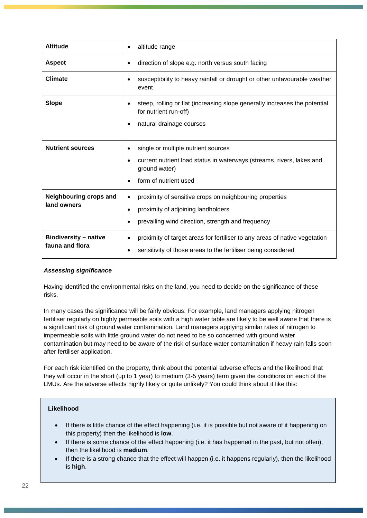| <b>Altitude</b>                                 | altitude range<br>٠                                                                                                                                      |  |  |
|-------------------------------------------------|----------------------------------------------------------------------------------------------------------------------------------------------------------|--|--|
| <b>Aspect</b>                                   | direction of slope e.g. north versus south facing<br>٠                                                                                                   |  |  |
| <b>Climate</b>                                  | susceptibility to heavy rainfall or drought or other unfavourable weather<br>event                                                                       |  |  |
| <b>Slope</b>                                    | steep, rolling or flat (increasing slope generally increases the potential<br>for nutrient run-off)<br>natural drainage courses                          |  |  |
|                                                 |                                                                                                                                                          |  |  |
| <b>Nutrient sources</b>                         | single or multiple nutrient sources<br>$\bullet$                                                                                                         |  |  |
|                                                 | current nutrient load status in waterways (streams, rivers, lakes and<br>ground water)                                                                   |  |  |
|                                                 | form of nutrient used                                                                                                                                    |  |  |
| <b>Neighbouring crops and</b><br>land owners    | proximity of sensitive crops on neighbouring properties<br>$\bullet$                                                                                     |  |  |
|                                                 | proximity of adjoining landholders<br>$\bullet$                                                                                                          |  |  |
|                                                 | prevailing wind direction, strength and frequency<br>٠                                                                                                   |  |  |
| <b>Biodiversity - native</b><br>fauna and flora | proximity of target areas for fertiliser to any areas of native vegetation<br>$\bullet$<br>sensitivity of those areas to the fertiliser being considered |  |  |

#### *Assessing significance*

Having identified the environmental risks on the land, you need to decide on the significance of these risks.

In many cases the significance will be fairly obvious. For example, land managers applying nitrogen fertiliser regularly on highly permeable soils with a high water table are likely to be well aware that there is a significant risk of ground water contamination. Land managers applying similar rates of nitrogen to impermeable soils with little ground water do not need to be so concerned with ground water contamination but may need to be aware of the risk of surface water contamination if heavy rain falls soon after fertiliser application.

For each risk identified on the property, think about the potential adverse effects and the likelihood that they will occur in the short (up to 1 year) to medium (3-5 years) term given the conditions on each of the LMUs. Are the adverse effects highly likely or quite unlikely? You could think about it like this:

#### **Likelihood**

- If there is little chance of the effect happening (i.e. it is possible but not aware of it happening on this property) then the likelihood is **low**.
- If there is some chance of the effect happening (i.e. it has happened in the past, but not often), then the likelihood is **medium**.
- If there is a strong chance that the effect will happen (i.e. it happens regularly), then the likelihood is **high**.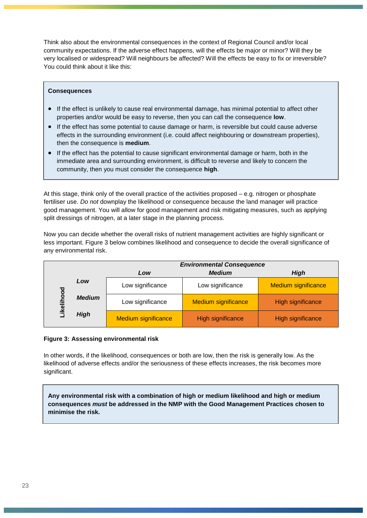Think also about the environmental consequences in the context of Regional Council and/or local community expectations. If the adverse effect happens, will the effects be major or minor? Will they be very localised or widespread? Will neighbours be affected? Will the effects be easy to fix or irreversible? You could think about it like this:

#### **Consequences**

- If the effect is unlikely to cause real environmental damage, has minimal potential to affect other properties and/or would be easy to reverse, then you can call the consequence **low**.
- If the effect has some potential to cause damage or harm, is reversible but could cause adverse effects in the surrounding environment (i.e. could affect neighbouring or downstream properties), then the consequence is **medium**.
- If the effect has the potential to cause significant environmental damage or harm, both in the immediate area and surrounding environment, is difficult to reverse and likely to concern the community, then you must consider the consequence **high**.

At this stage, think only of the overall practice of the activities proposed – e.g. nitrogen or phosphate fertiliser use. *Do not* downplay the likelihood or consequence because the land manager will practice good management. You will allow for good management and risk mitigating measures, such as applying split dressings of nitrogen, at a later stage in the planning process.

Now you can decide whether the overall risks of nutrient management activities are highly significant or less important. Figure 3 below combines likelihood and consequence to decide the overall significance of any environmental risk.

|            |               | <b>Environmental Consequence</b> |                            |                            |
|------------|---------------|----------------------------------|----------------------------|----------------------------|
|            |               | Low                              | <b>Medium</b>              | High                       |
|            | Low           | Low significance                 | Low significance           | <b>Medium significance</b> |
| Likelihood | <b>Medium</b> | Low significance                 | <b>Medium significance</b> | High significance          |
|            | <b>High</b>   | <b>Medium significance</b>       | <b>High significance</b>   | High significance          |

#### **Figure 3: Assessing environmental risk**

In other words, if the likelihood, consequences or both are low, then the risk is generally low. As the likelihood of adverse effects and/or the seriousness of these effects increases, the risk becomes more significant.

**Any environmental risk with a combination of high or medium likelihood and high or medium consequences** *must* **be addressed in the NMP with the Good Management Practices chosen to minimise the risk.**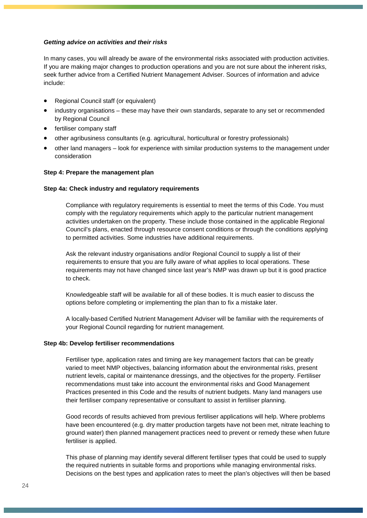#### *Getting advice on activities and their risks*

In many cases, you will already be aware of the environmental risks associated with production activities. If you are making major changes to production operations and you are not sure about the inherent risks, seek further advice from a Certified Nutrient Management Adviser. Sources of information and advice include:

- Regional Council staff (or equivalent)
- industry organisations these may have their own standards, separate to any set or recommended by Regional Council
- fertiliser company staff
- other agribusiness consultants (e.g. agricultural, horticultural or forestry professionals)
- other land managers look for experience with similar production systems to the management under consideration

#### <span id="page-23-0"></span>**Step 4: Prepare the management plan**

#### <span id="page-23-1"></span>**Step 4a: Check industry and regulatory requirements**

Compliance with regulatory requirements is essential to meet the terms of this Code. You must comply with the regulatory requirements which apply to the particular nutrient management activities undertaken on the property. These include those contained in the applicable Regional Council's plans, enacted through resource consent conditions or through the conditions applying to permitted activities. Some industries have additional requirements.

Ask the relevant industry organisations and/or Regional Council to supply a list of their requirements to ensure that you are fully aware of what applies to local operations. These requirements may not have changed since last year's NMP was drawn up but it is good practice to check.

Knowledgeable staff will be available for all of these bodies. It is much easier to discuss the options before completing or implementing the plan than to fix a mistake later.

A locally-based Certified Nutrient Management Adviser will be familiar with the requirements of your Regional Council regarding for nutrient management.

#### <span id="page-23-2"></span>**Step 4b: Develop fertiliser recommendations**

Fertiliser type, application rates and timing are key management factors that can be greatly varied to meet NMP objectives, balancing information about the environmental risks, present nutrient levels, capital or maintenance dressings, and the objectives for the property. Fertiliser recommendations must take into account the environmental risks and Good Management Practices presented in this Code and the results of nutrient budgets. Many land managers use their fertiliser company representative or consultant to assist in fertiliser planning.

Good records of results achieved from previous fertiliser applications will help. Where problems have been encountered (e.g. dry matter production targets have not been met, nitrate leaching to ground water) then planned management practices need to prevent or remedy these when future fertiliser is applied.

This phase of planning may identify several different fertiliser types that could be used to supply the required nutrients in suitable forms and proportions while managing environmental risks. Decisions on the best types and application rates to meet the plan's objectives will then be based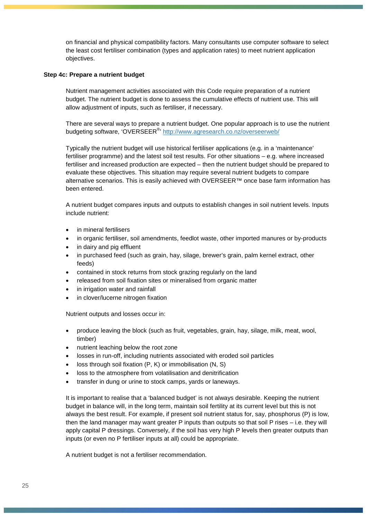on financial and physical compatibility factors. Many consultants use computer software to select the least cost fertiliser combination (types and application rates) to meet nutrient application objectives.

#### <span id="page-24-0"></span>**Step 4c: Prepare a nutrient budget**

Nutrient management activities associated with this Code require preparation of a nutrient budget. The nutrient budget is done to assess the cumulative effects of nutrient use. This will allow adjustment of inputs, such as fertiliser, if necessary.

There are several ways to prepare a nutrient budget. One popular approach is to use the nutrient budgeting software, 'OVERSEER<sup>®,</sup> <http://www.agresearch.co.nz/overseerweb/>

Typically the nutrient budget will use historical fertiliser applications (e.g. in a 'maintenance' fertiliser programme) and the latest soil test results. For other situations – e.g. where increased fertiliser and increased production are expected – then the nutrient budget should be prepared to evaluate these objectives. This situation may require several nutrient budgets to compare alternative scenarios. This is easily achieved with OVERSEER™ once base farm information has been entered.

A nutrient budget compares inputs and outputs to establish changes in soil nutrient levels. Inputs include nutrient:

- in mineral fertilisers
- in organic fertiliser, soil amendments, feedlot waste, other imported manures or by-products
- in dairy and pig effluent
- in purchased feed (such as grain, hay, silage, brewer's grain, palm kernel extract, other feeds)
- contained in stock returns from stock grazing regularly on the land
- released from soil fixation sites or mineralised from organic matter
- in irrigation water and rainfall
- in clover/lucerne nitrogen fixation

Nutrient outputs and losses occur in:

- produce leaving the block (such as fruit, vegetables, grain, hay, silage, milk, meat, wool, timber)
- nutrient leaching below the root zone
- losses in run-off, including nutrients associated with eroded soil particles
- loss through soil fixation  $(P, K)$  or immobilisation  $(N, S)$
- loss to the atmosphere from volatilisation and denitrification
- transfer in dung or urine to stock camps, yards or laneways.

It is important to realise that a 'balanced budget' is not always desirable. Keeping the nutrient budget in balance will, in the long term, maintain soil fertility at its current level but this is not always the best result. For example, if present soil nutrient status for, say, phosphorus (P) is low, then the land manager may want greater P inputs than outputs so that soil P rises – i.e. they will apply capital P dressings. Conversely, if the soil has very high P levels then greater outputs than inputs (or even no P fertiliser inputs at all) could be appropriate.

A nutrient budget is not a fertiliser recommendation.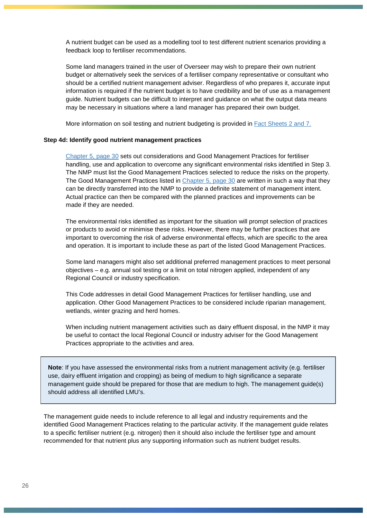A nutrient budget can be used as a modelling tool to test different nutrient scenarios providing a feedback loop to fertiliser recommendations.

Some land managers trained in the user of Overseer may wish to prepare their own nutrient budget or alternatively seek the services of a fertiliser company representative or consultant who should be a certified nutrient management adviser. Regardless of who prepares it, accurate input information is required if the nutrient budget is to have credibility and be of use as a management guide. Nutrient budgets can be difficult to interpret and guidance on what the output data means may be necessary in situations where a land manager has prepared their own budget.

More information on soil testing and nutrient budgeting is provided in **Fact Sheets 2 and 7.** 

#### <span id="page-25-0"></span>**Step 4d: Identify good nutrient management practices**

[Chapter 5, page 30](#page-29-0) sets out considerations and Good Management Practices for fertiliser handling, use and application to overcome any significant environmental risks identified in Step 3. The NMP must list the Good Management Practices selected to reduce the risks on the property. The Good Management Practices listed in [Chapter 5, page 30](#page-29-0) are written in such a way that they can be directly transferred into the NMP to provide a definite statement of management intent. Actual practice can then be compared with the planned practices and improvements can be made if they are needed.

The environmental risks identified as important for the situation will prompt selection of practices or products to avoid or minimise these risks. However, there may be further practices that are important to overcoming the risk of adverse environmental effects, which are specific to the area and operation. It is important to include these as part of the listed Good Management Practices.

Some land managers might also set additional preferred management practices to meet personal objectives – e.g. annual soil testing or a limit on total nitrogen applied, independent of any Regional Council or industry specification.

This Code addresses in detail Good Management Practices for fertiliser handling, use and application. Other Good Management Practices to be considered include riparian management, wetlands, winter grazing and herd homes.

When including nutrient management activities such as dairy effluent disposal, in the NMP it may be useful to contact the local Regional Council or industry adviser for the Good Management Practices appropriate to the activities and area.

**Note**: If you have assessed the environmental risks from a nutrient management activity (e.g. fertiliser use, dairy effluent irrigation and cropping) as being of medium to high significance a separate management guide should be prepared for those that are medium to high. The management guide(s) should address all identified LMU's.

The management guide needs to include reference to all legal and industry requirements and the identified Good Management Practices relating to the particular activity. If the management guide relates to a specific fertiliser nutrient (e.g. nitrogen) then it should also include the fertiliser type and amount recommended for that nutrient plus any supporting information such as nutrient budget results.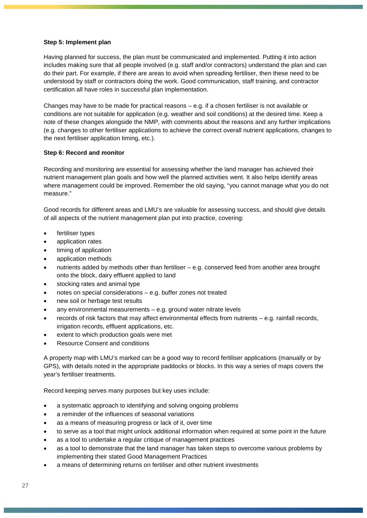#### <span id="page-26-0"></span>**Step 5: Implement plan**

Having planned for success, the plan must be communicated and implemented. Putting it into action includes making sure that all people involved (e.g. staff and/or contractors) understand the plan and can do their part. For example, if there are areas to avoid when spreading fertiliser, then these need to be understood by staff or contractors doing the work. Good communication, staff training, and contractor certification all have roles in successful plan implementation.

Changes may have to be made for practical reasons – e.g. if a chosen fertiliser is not available or conditions are not suitable for application (e.g. weather and soil conditions) at the desired time. Keep a note of these changes alongside the NMP, with comments about the reasons and any further implications (e.g. changes to other fertiliser applications to achieve the correct overall nutrient applications, changes to the next fertiliser application timing, etc.).

#### <span id="page-26-1"></span>**Step 6: Record and monitor**

Recording and monitoring are essential for assessing whether the land manager has achieved their nutrient management plan goals and how well the planned activities went. It also helps identify areas where management could be improved. Remember the old saying, "you cannot manage what you do not measure."

Good records for different areas and LMU's are valuable for assessing success, and should give details of all aspects of the nutrient management plan put into practice, covering:

- fertiliser types
- application rates
- timing of application
- application methods
- nutrients added by methods other than fertiliser e.g. conserved feed from another area brought onto the block, dairy effluent applied to land
- stocking rates and animal type
- notes on special considerations e.g. buffer zones not treated
- new soil or herbage test results
- any environmental measurements  $-$  e.g. ground water nitrate levels
- records of risk factors that may affect environmental effects from nutrients e.g. rainfall records, irrigation records, effluent applications, etc.
- extent to which production goals were met
- Resource Consent and conditions

A property map with LMU's marked can be a good way to record fertiliser applications (manually or by GPS), with details noted in the appropriate paddocks or blocks. In this way a series of maps covers the year's fertiliser treatments.

Record keeping serves many purposes but key uses include:

- a systematic approach to identifying and solving ongoing problems
- a reminder of the influences of seasonal variations
- as a means of measuring progress or lack of it, over time
- to serve as a tool that might unlock additional information when required at some point in the future
- as a tool to undertake a regular critique of management practices
- as a tool to demonstrate that the land manager has taken steps to overcome various problems by implementing their stated Good Management Practices
- a means of determining returns on fertiliser and other nutrient investments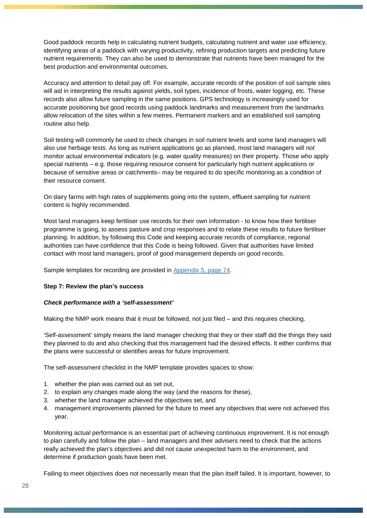Good paddock records help in calculating nutrient budgets, calculating nutrient and water use efficiency, identifying areas of a paddock with varying productivity, refining production targets and predicting future nutrient requirements. They can also be used to demonstrate that nutrients have been managed for the best production and environmental outcomes.

Accuracy and attention to detail pay off. For example, accurate records of the position of soil sample sites will aid in interpreting the results against yields, soil types, incidence of frosts, water logging, etc. These records also allow future sampling in the same positions. GPS technology is increasingly used for accurate positioning but good records using paddock landmarks and measurement from the landmarks allow relocation of the sites within a few metres. Permanent markers and an established soil sampling routine also help.

Soil testing will commonly be used to check changes in soil nutrient levels and some land managers will also use herbage tests. As long as nutrient applications go as planned, most land managers will *not* monitor actual environmental indicators (e.g. water quality measures) on their property. Those who apply special nutrients – e.g. those requiring resource consent for particularly high nutrient applications or because of sensitive areas or catchments– may be required to do specific monitoring as a condition of their resource consent.

On dairy farms with high rates of supplements going into the system, effluent sampling for nutrient content is highly recommended.

Most land managers keep fertiliser use records for their own information - to know how their fertiliser programme is going, to assess pasture and crop responses and to relate these results to future fertiliser planning. In addition, by following this Code and keeping accurate records of compliance, regional authorities can have confidence that this Code is being followed. Given that authorities have limited contact with most land managers, proof of good management depends on good records.

Sample templates for recording are provided in [Appendix 5,](#page--1-1) page 74.

#### <span id="page-27-0"></span>**Step 7: Review the plan's success**

#### *Check performance with a 'self-assessment'*

Making the NMP work means that it must be followed, not just filed – and this requires checking.

'Self-assessment' simply means the land manager checking that they or their staff did the things they said they planned to do and also checking that this management had the desired effects. It either confirms that the plans were successful or identifies areas for future improvement.

The self-assessment checklist in the NMP template provides spaces to show:

- 1. whether the plan was carried out as set out,
- 2. to explain any changes made along the way (and the reasons for these),
- 3. whether the land manager achieved the objectives set, and
- 4. management improvements planned for the future to meet any objectives that were not achieved this year.

Monitoring actual performance is an essential part of achieving continuous improvement. It is not enough to plan carefully and follow the plan – land managers and their advisers need to check that the actions really achieved the plan's objectives and did not cause unexpected harm to the environment, and determine if production goals have been met.

Failing to meet objectives does not necessarily mean that the plan itself failed. It is important, however, to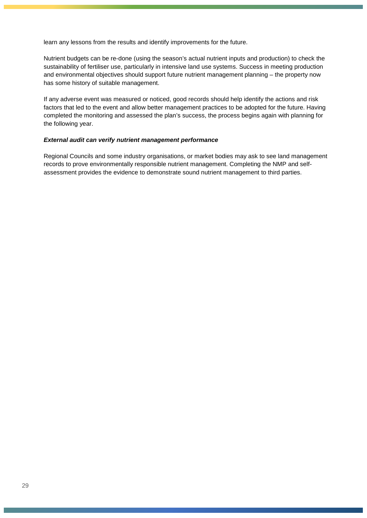learn any lessons from the results and identify improvements for the future.

Nutrient budgets can be re-done (using the season's actual nutrient inputs and production) to check the sustainability of fertiliser use, particularly in intensive land use systems. Success in meeting production and environmental objectives should support future nutrient management planning – the property now has some history of suitable management.

If any adverse event was measured or noticed, good records should help identify the actions and risk factors that led to the event and allow better management practices to be adopted for the future. Having completed the monitoring and assessed the plan's success, the process begins again with planning for the following year.

#### *External audit can verify nutrient management performance*

Regional Councils and some industry organisations, or market bodies may ask to see land management records to prove environmentally responsible nutrient management. Completing the NMP and selfassessment provides the evidence to demonstrate sound nutrient management to third parties.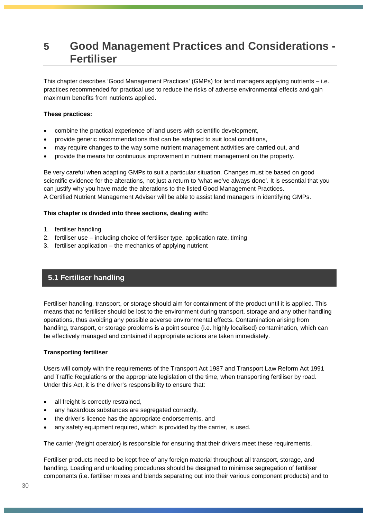# <span id="page-29-0"></span>**5 Good Management Practices and Considerations - Fertiliser**

This chapter describes 'Good Management Practices' (GMPs) for land managers applying nutrients – i.e. practices recommended for practical use to reduce the risks of adverse environmental effects and gain maximum benefits from nutrients applied.

#### **These practices:**

- combine the practical experience of land users with scientific development,
- provide generic recommendations that can be adapted to suit local conditions,
- may require changes to the way some nutrient management activities are carried out, and
- provide the means for continuous improvement in nutrient management on the property.

Be very careful when adapting GMPs to suit a particular situation. Changes must be based on good scientific evidence for the alterations, not just a return to 'what we've always done'. It is essential that you can justify why you have made the alterations to the listed Good Management Practices. A Certified Nutrient Management Adviser will be able to assist land managers in identifying GMPs.

#### **This chapter is divided into three sections, dealing with:**

- 1. fertiliser handling
- 2. fertiliser use including choice of fertiliser type, application rate, timing
- <span id="page-29-1"></span>3. fertiliser application – the mechanics of applying nutrient

# **5.1 Fertiliser handling**

Fertiliser handling, transport, or storage should aim for containment of the product until it is applied. This means that no fertiliser should be lost to the environment during transport, storage and any other handling operations, thus avoiding any possible adverse environmental effects. Contamination arising from handling, transport, or storage problems is a point source (i.e. highly localised) contamination, which can be effectively managed and contained if appropriate actions are taken immediately.

#### <span id="page-29-2"></span>**Transporting fertiliser**

Users will comply with the requirements of the Transport Act 1987 and Transport Law Reform Act 1991 and Traffic Regulations or the appropriate legislation of the time, when transporting fertiliser by road. Under this Act, it is the driver's responsibility to ensure that:

- all freight is correctly restrained,
- any hazardous substances are segregated correctly,
- the driver's licence has the appropriate endorsements, and
- any safety equipment required, which is provided by the carrier, is used.

The carrier (freight operator) is responsible for ensuring that their drivers meet these requirements.

Fertiliser products need to be kept free of any foreign material throughout all transport, storage, and handling. Loading and unloading procedures should be designed to minimise segregation of fertiliser components (i.e. fertiliser mixes and blends separating out into their various component products) and to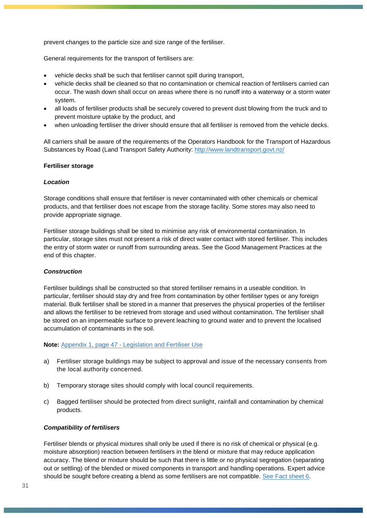prevent changes to the particle size and size range of the fertiliser.

General requirements for the transport of fertilisers are:

- vehicle decks shall be such that fertiliser cannot spill during transport,
- vehicle decks shall be cleaned so that no contamination or chemical reaction of fertilisers carried can occur. The wash down shall occur on areas where there is no runoff into a waterway or a storm water system.
- all loads of fertiliser products shall be securely covered to prevent dust blowing from the truck and to prevent moisture uptake by the product, and
- when unloading fertiliser the driver should ensure that all fertiliser is removed from the vehicle decks.

All carriers shall be aware of the requirements of the Operators Handbook for the Transport of Hazardous Substances by Road (Land Transport Safety Authority: <http://www.landtransport.govt.nz/>

#### <span id="page-30-0"></span>**Fertiliser storage**

#### *Location*

Storage conditions shall ensure that fertiliser is never contaminated with other chemicals or chemical products, and that fertiliser does not escape from the storage facility. Some stores may also need to provide appropriate signage.

Fertiliser storage buildings shall be sited to minimise any risk of environmental contamination. In particular, storage sites must not present a risk of direct water contact with stored fertiliser. This includes the entry of storm water or runoff from surrounding areas. See the Good Management Practices at the end of this chapter.

#### *Construction*

Fertiliser buildings shall be constructed so that stored fertiliser remains in a useable condition. In particular, fertiliser should stay dry and free from contamination by other fertiliser types or any foreign material. Bulk fertiliser shall be stored in a manner that preserves the physical properties of the fertiliser and allows the fertiliser to be retrieved from storage and used without contamination. The fertiliser shall be stored on an impermeable surface to prevent leaching to ground water and to prevent the localised accumulation of contaminants in the soil.

#### **Note:** Appendix 1, page 47 - [Legislation and Fertiliser Use](#page-46-0)

- a) Fertiliser storage buildings may be subject to approval and issue of the necessary consents from the local authority concerned.
- b) Temporary storage sites should comply with local council requirements.
- c) Bagged fertiliser should be protected from direct sunlight, rainfall and contamination by chemical products.

#### *Compatibility of fertilisers*

Fertiliser blends or physical mixtures shall only be used if there is no risk of chemical or physical (e.g. moisture absorption) reaction between fertilisers in the blend or mixture that may reduce application accuracy. The blend or mixture should be such that there is little or no physical segregation (separating out or settling) of the blended or mixed components in transport and handling operations. Expert advice should be sought before creating a blend as some fertilisers are not compatible. [See Fact sheet 6.](http://fertiliser.org.nz/Site/code_of_practice/fact_sheets/default.aspx)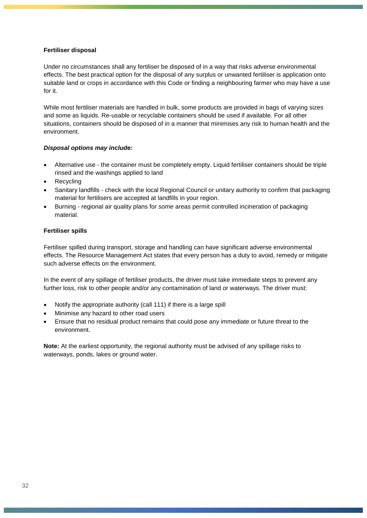#### <span id="page-31-0"></span>**Fertiliser disposal**

Under no circumstances shall any fertiliser be disposed of in a way that risks adverse environmental effects. The best practical option for the disposal of any surplus or unwanted fertiliser is application onto suitable land or crops in accordance with this Code or finding a neighbouring farmer who may have a use for it.

While most fertiliser materials are handled in bulk, some products are provided in bags of varying sizes and some as liquids. Re-usable or recyclable containers should be used if available. For all other situations, containers should be disposed of in a manner that minimises any risk to human health and the environment.

#### *Disposal options may include:*

- Alternative use the container must be completely empty. Liquid fertiliser containers should be triple rinsed and the washings applied to land
- Recycling
- Sanitary landfills check with the local Regional Council or unitary authority to confirm that packaging material for fertilisers are accepted at landfills in your region.
- Burning regional air quality plans for *some* areas permit controlled incineration of packaging material.

#### <span id="page-31-1"></span>**Fertiliser spills**

Fertiliser spilled during transport, storage and handling can have significant adverse environmental effects. The Resource Management Act states that every person has a duty to avoid, remedy or mitigate such adverse effects on the environment.

In the event of any spillage of fertiliser products, the driver must take immediate steps to prevent any further loss, risk to other people and/or any contamination of land or waterways. The driver must:

- Notify the appropriate authority (call 111) if there is a large spill
- Minimise any hazard to other road users
- Ensure that no residual product remains that could pose any immediate or future threat to the environment.

**Note:** At the earliest opportunity, the regional authority must be advised of any spillage risks to waterways, ponds, lakes or ground water.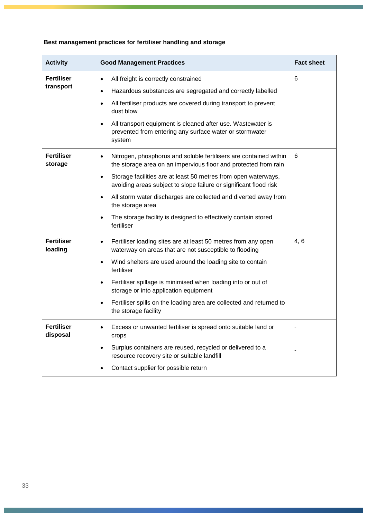# <span id="page-32-0"></span>**Best management practices for fertiliser handling and storage**

| <b>Activity</b>                | <b>Good Management Practices</b>                                                                                                                                                                                                                                                                                                                                                                                                                                                                       | <b>Fact sheet</b> |
|--------------------------------|--------------------------------------------------------------------------------------------------------------------------------------------------------------------------------------------------------------------------------------------------------------------------------------------------------------------------------------------------------------------------------------------------------------------------------------------------------------------------------------------------------|-------------------|
| <b>Fertiliser</b><br>transport | All freight is correctly constrained<br>$\bullet$<br>Hazardous substances are segregated and correctly labelled<br>$\bullet$<br>All fertiliser products are covered during transport to prevent<br>$\bullet$<br>dust blow<br>All transport equipment is cleaned after use. Wastewater is<br>$\bullet$<br>prevented from entering any surface water or stormwater<br>system                                                                                                                             | 6                 |
| <b>Fertiliser</b><br>storage   | Nitrogen, phosphorus and soluble fertilisers are contained within<br>$\bullet$<br>the storage area on an impervious floor and protected from rain<br>Storage facilities are at least 50 metres from open waterways,<br>$\bullet$<br>avoiding areas subject to slope failure or significant flood risk<br>All storm water discharges are collected and diverted away from<br>$\bullet$<br>the storage area<br>The storage facility is designed to effectively contain stored<br>$\bullet$<br>fertiliser | 6                 |
| <b>Fertiliser</b><br>loading   | Fertiliser loading sites are at least 50 metres from any open<br>$\bullet$<br>waterway on areas that are not susceptible to flooding<br>Wind shelters are used around the loading site to contain<br>$\bullet$<br>fertiliser<br>Fertiliser spillage is minimised when loading into or out of<br>$\bullet$<br>storage or into application equipment<br>Fertiliser spills on the loading area are collected and returned to<br>$\bullet$<br>the storage facility                                         | 4, 6              |
| <b>Fertiliser</b><br>disposal  | Excess or unwanted fertiliser is spread onto suitable land or<br>$\bullet$<br>crops<br>Surplus containers are reused, recycled or delivered to a<br>$\bullet$<br>resource recovery site or suitable landfill<br>Contact supplier for possible return<br>$\bullet$                                                                                                                                                                                                                                      | $\blacksquare$    |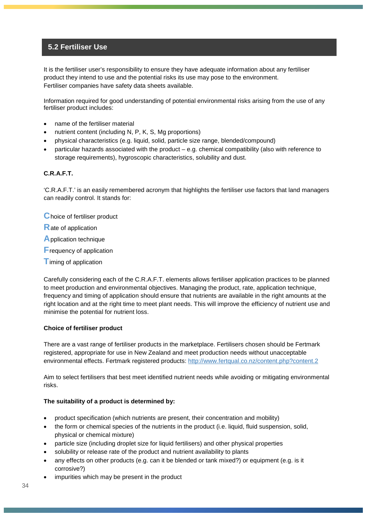## <span id="page-33-0"></span>**5.2 Fertiliser Use**

It is the fertiliser user's responsibility to ensure they have adequate information about any fertiliser product they intend to use and the potential risks its use may pose to the environment. Fertiliser companies have safety data sheets available.

Information required for good understanding of potential environmental risks arising from the use of any fertiliser product includes:

- name of the fertiliser material
- nutrient content (including N, P, K, S, Mg proportions)
- physical characteristics (e.g. liquid, solid, particle size range, blended/compound)
- particular hazards associated with the product e.g. chemical compatibility (also with reference to storage requirements), hygroscopic characteristics, solubility and dust.

#### <span id="page-33-1"></span>**C.R.A.F.T.**

'C.R.A.F.T.' is an easily remembered acronym that highlights the fertiliser use factors that land managers can readily control. It stands for:

**C**hoice of fertiliser product

- **R**ate of application
- **A**pplication technique
- **F**requency of application
- **T** iming of application

Carefully considering each of the C.R.A.F.T. elements allows fertiliser application practices to be planned to meet production and environmental objectives. Managing the product, rate, application technique, frequency and timing of application should ensure that nutrients are available in the right amounts at the right location and at the right time to meet plant needs. This will improve the efficiency of nutrient use and minimise the potential for nutrient loss.

#### <span id="page-33-2"></span>**Choice of fertiliser product**

There are a vast range of fertiliser products in the marketplace. Fertilisers chosen should be Fertmark registered, appropriate for use in New Zealand and meet production needs without unacceptable environmental effects. Fertmark registered products:<http://www.fertqual.co.nz/content.php?content.2>

Aim to select fertilisers that best meet identified nutrient needs while avoiding or mitigating environmental risks.

#### **The suitability of a product is determined by:**

- product specification (which nutrients are present, their concentration and mobility)
- the form or chemical species of the nutrients in the product (i.e. liquid, fluid suspension, solid, physical or chemical mixture)
- particle size (including droplet size for liquid fertilisers) and other physical properties
- solubility or release rate of the product and nutrient availability to plants
- any effects on other products (e.g. can it be blended or tank mixed?) or equipment (e.g. is it corrosive?)
- impurities which may be present in the product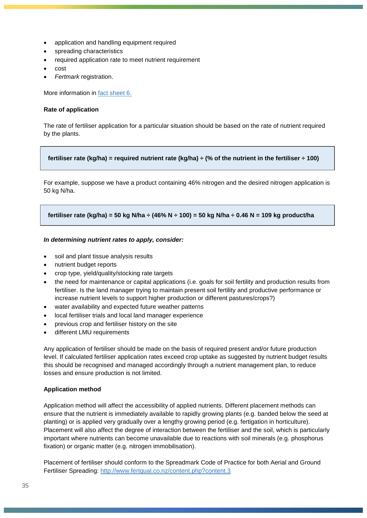- application and handling equipment required
- spreading characteristics
- required application rate to meet nutrient requirement
- cost
- *Fertmark* registration.

More information in [fact sheet 6.](http://fertiliser.org.nz/Site/code_of_practice/fact_sheets/default.aspx)

#### <span id="page-34-0"></span>**Rate of application**

The rate of fertiliser application for a particular situation should be based on the rate of nutrient required by the plants.

#### **fertiliser rate (kg/ha) = required nutrient rate (kg/ha) ÷ (% of the nutrient in the fertiliser ÷ 100)**

For example, suppose we have a product containing 46% nitrogen and the desired nitrogen application is 50 kg N/ha.

#### **fertiliser rate (kg/ha) = 50 kg N/ha ÷ (46% N ÷ 100) = 50 kg N/ha ÷ 0.46 N = 109 kg product/ha**

#### *In determining nutrient rates to apply, consider:*

- soil and plant tissue analysis results
- nutrient budget reports
- crop type, yield/quality/stocking rate targets
- the need for maintenance or capital applications (i.e. goals for soil fertility and production results from fertiliser. Is the land manager trying to maintain present soil fertility and productive performance or increase nutrient levels to support higher production or different pastures/crops?)
- water availability and expected future weather patterns
- local fertiliser trials and local land manager experience
- previous crop and fertiliser history on the site
- different LMU requirements

Any application of fertiliser should be made on the basis of required present and/or future production level. If calculated fertiliser application rates exceed crop uptake as suggested by nutrient budget results this should be recognised and managed accordingly through a nutrient management plan, to reduce losses and ensure production is not limited.

#### <span id="page-34-1"></span>**Application method**

Application method will affect the accessibility of applied nutrients. Different placement methods can ensure that the nutrient is immediately available to rapidly growing plants (e.g. banded below the seed at planting) or is applied very gradually over a lengthy growing period (e.g. fertigation in horticulture). Placement will also affect the degree of interaction between the fertiliser and the soil, which is particularly important where nutrients can become unavailable due to reactions with soil minerals (e.g. phosphorus fixation) or organic matter (e.g. nitrogen immobilisation).

Placement of fertiliser should conform to the Spreadmark Code of Practice for both Aerial and Ground Fertiliser Spreading: <http://www.fertqual.co.nz/content.php?content.3>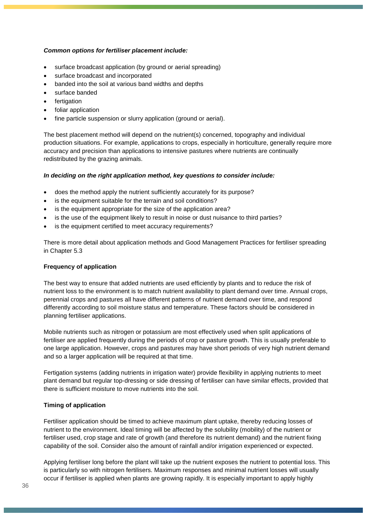#### *Common options for fertiliser placement include:*

- surface broadcast application (by ground or aerial spreading)
- surface broadcast and incorporated
- banded into the soil at various band widths and depths
- surface banded
- fertigation
- foliar application
- fine particle suspension or slurry application (ground or aerial).

The best placement method will depend on the nutrient(s) concerned, topography and individual production situations. For example, applications to crops, especially in horticulture, generally require more accuracy and precision than applications to intensive pastures where nutrients are continually redistributed by the grazing animals.

#### *In deciding on the right application method, key questions to consider include:*

- does the method apply the nutrient sufficiently accurately for its purpose?
- is the equipment suitable for the terrain and soil conditions?
- is the equipment appropriate for the size of the application area?
- is the use of the equipment likely to result in noise or dust nuisance to third parties?
- is the equipment certified to meet accuracy requirements?

There is more detail about application methods and Good Management Practices for fertiliser spreading in Chapter 5.3

#### <span id="page-35-0"></span>**Frequency of application**

The best way to ensure that added nutrients are used efficiently by plants and to reduce the risk of nutrient loss to the environment is to match nutrient availability to plant demand over time. Annual crops, perennial crops and pastures all have different patterns of nutrient demand over time, and respond differently according to soil moisture status and temperature. These factors should be considered in planning fertiliser applications.

Mobile nutrients such as nitrogen or potassium are most effectively used when split applications of fertiliser are applied frequently during the periods of crop or pasture growth. This is usually preferable to one large application. However, crops and pastures may have short periods of very high nutrient demand and so a larger application will be required at that time.

Fertigation systems (adding nutrients in irrigation water) provide flexibility in applying nutrients to meet plant demand but regular top-dressing or side dressing of fertiliser can have similar effects, provided that there is sufficient moisture to move nutrients into the soil.

#### <span id="page-35-1"></span>**Timing of application**

Fertiliser application should be timed to achieve maximum plant uptake, thereby reducing losses of nutrient to the environment. Ideal timing will be affected by the solubility (mobility) of the nutrient or fertiliser used, crop stage and rate of growth (and therefore its nutrient demand) and the nutrient fixing capability of the soil. Consider also the amount of rainfall and/or irrigation experienced or expected.

Applying fertiliser long before the plant will take up the nutrient exposes the nutrient to potential loss. This is particularly so with nitrogen fertilisers. Maximum responses and minimal nutrient losses will usually occur if fertiliser is applied when plants are growing rapidly. It is especially important to apply highly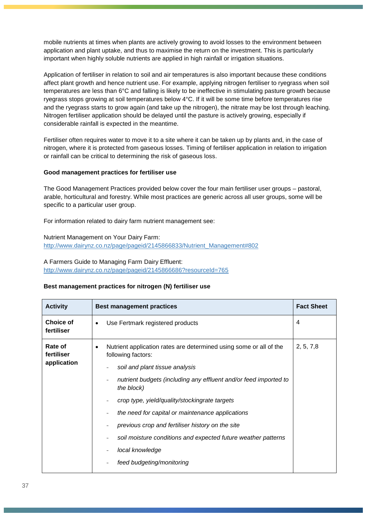mobile nutrients at times when plants are actively growing to avoid losses to the environment between application and plant uptake, and thus to maximise the return on the investment. This is particularly important when highly soluble nutrients are applied in high rainfall or irrigation situations.

Application of fertiliser in relation to soil and air temperatures is also important because these conditions affect plant growth and hence nutrient use. For example, applying nitrogen fertiliser to ryegrass when soil temperatures are less than 6°C and falling is likely to be ineffective in stimulating pasture growth because ryegrass stops growing at soil temperatures below 4°C. If it will be some time before temperatures rise and the ryegrass starts to grow again (and take up the nitrogen), the nitrate may be lost through leaching. Nitrogen fertiliser application should be delayed until the pasture is actively growing, especially if considerable rainfall is expected in the meantime.

Fertiliser often requires water to move it to a site where it can be taken up by plants and, in the case of nitrogen, where it is protected from gaseous losses. Timing of fertiliser application in relation to irrigation or rainfall can be critical to determining the risk of gaseous loss.

### **Good management practices for fertiliser use**

The Good Management Practices provided below cover the four main fertiliser user groups – pastoral, arable, horticultural and forestry. While most practices are generic across all user groups, some will be specific to a particular user group.

For information related to dairy farm nutrient management see:

Nutrient Management on Your Dairy Farm: [http://www.dairynz.co.nz/page/pageid/2145866833/Nutrient\\_Management#802](http://www.dairynz.co.nz/page/pageid/2145866833/Nutrient_Management#802)

### A Farmers Guide to Managing Farm Dairy Effluent:

<http://www.dairynz.co.nz/page/pageid/2145866686?resourceId=765>

#### **Best management practices for nitrogen (N) fertiliser use**

| <b>Activity</b>                | <b>Best management practices</b>                                                                      | <b>Fact Sheet</b> |
|--------------------------------|-------------------------------------------------------------------------------------------------------|-------------------|
| <b>Choice of</b><br>fertiliser | Use Fertmark registered products<br>$\bullet$                                                         | 4                 |
| Rate of<br>fertiliser          | Nutrient application rates are determined using some or all of the<br>$\bullet$<br>following factors: | 2, 5, 7, 8        |
| application                    | soil and plant tissue analysis                                                                        |                   |
|                                | nutrient budgets (including any effluent and/or feed imported to<br>the block)                        |                   |
|                                | crop type, yield/quality/stockingrate targets                                                         |                   |
|                                | the need for capital or maintenance applications                                                      |                   |
|                                | previous crop and fertiliser history on the site                                                      |                   |
|                                | soil moisture conditions and expected future weather patterns                                         |                   |
|                                | local knowledge                                                                                       |                   |
|                                | feed budgeting/monitoring                                                                             |                   |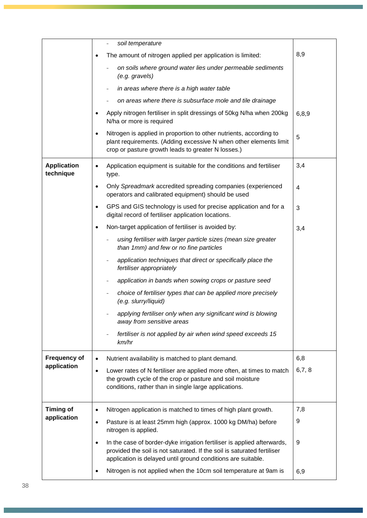|                                 | soil temperature                                                                                                                                                                                                                |                         |
|---------------------------------|---------------------------------------------------------------------------------------------------------------------------------------------------------------------------------------------------------------------------------|-------------------------|
|                                 | The amount of nitrogen applied per application is limited:<br>$\bullet$                                                                                                                                                         | 8,9                     |
|                                 | on soils where ground water lies under permeable sediments<br>(e.g. gravels)                                                                                                                                                    |                         |
|                                 | in areas where there is a high water table                                                                                                                                                                                      |                         |
|                                 | on areas where there is subsurface mole and tile drainage                                                                                                                                                                       |                         |
|                                 | Apply nitrogen fertiliser in split dressings of 50kg N/ha when 200kg<br>$\bullet$<br>N/ha or more is required                                                                                                                   | 6,8,9                   |
|                                 | Nitrogen is applied in proportion to other nutrients, according to<br>$\bullet$<br>plant requirements. (Adding excessive N when other elements limit<br>crop or pasture growth leads to greater N losses.)                      | 5                       |
| <b>Application</b><br>technique | Application equipment is suitable for the conditions and fertiliser<br>$\bullet$<br>type.                                                                                                                                       | 3,4                     |
|                                 | Only Spreadmark accredited spreading companies (experienced<br>$\bullet$<br>operators and calibrated equipment) should be used                                                                                                  | $\overline{\mathbf{4}}$ |
|                                 | GPS and GIS technology is used for precise application and for a<br>$\bullet$<br>digital record of fertiliser application locations.                                                                                            | 3                       |
|                                 | Non-target application of fertiliser is avoided by:<br>$\bullet$                                                                                                                                                                | 3,4                     |
|                                 | using fertiliser with larger particle sizes (mean size greater<br>than 1mm) and few or no fine particles                                                                                                                        |                         |
|                                 | application techniques that direct or specifically place the<br>fertiliser appropriately                                                                                                                                        |                         |
|                                 | application in bands when sowing crops or pasture seed                                                                                                                                                                          |                         |
|                                 | choice of fertiliser types that can be applied more precisely<br>(e.g. slurry/liquid)                                                                                                                                           |                         |
|                                 | applying fertiliser only when any significant wind is blowing<br>away from sensitive areas                                                                                                                                      |                         |
|                                 | fertiliser is not applied by air when wind speed exceeds 15<br>km/hr                                                                                                                                                            |                         |
| <b>Frequency of</b>             | Nutrient availability is matched to plant demand.<br>$\bullet$                                                                                                                                                                  | 6,8                     |
| application                     | Lower rates of N fertiliser are applied more often, at times to match<br>$\bullet$<br>the growth cycle of the crop or pasture and soil moisture<br>conditions, rather than in single large applications.                        | 6,7,8                   |
| <b>Timing of</b>                | Nitrogen application is matched to times of high plant growth.<br>$\bullet$                                                                                                                                                     | 7,8                     |
| application                     | Pasture is at least 25mm high (approx. 1000 kg DM/ha) before<br>$\bullet$<br>nitrogen is applied.                                                                                                                               | 9                       |
|                                 | In the case of border-dyke irrigation fertiliser is applied afterwards,<br>$\bullet$<br>provided the soil is not saturated. If the soil is saturated fertiliser<br>application is delayed until ground conditions are suitable. | 9                       |
|                                 | Nitrogen is not applied when the 10cm soil temperature at 9am is<br>$\bullet$                                                                                                                                                   | 6,9                     |
|                                 |                                                                                                                                                                                                                                 |                         |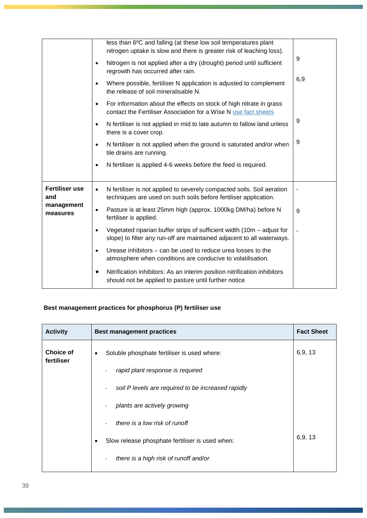|                              | less than 6°C and falling (at these low soil temperatures plant<br>nitrogen uptake is slow and there is greater risk of leaching loss).                 |     |
|------------------------------|---------------------------------------------------------------------------------------------------------------------------------------------------------|-----|
|                              | Nitrogen is not applied after a dry (drought) period until sufficient<br>$\bullet$<br>regrowth has occurred after rain.                                 | 9   |
|                              | Where possible, fertiliser N application is adjusted to complement<br>$\bullet$<br>the release of soil mineralisable N.                                 | 6,9 |
|                              | For information about the effects on stock of high nitrate in grass<br>$\bullet$<br>contact the Fertiliser Association for a Wise N use fact sheets     |     |
|                              | N fertiliser is not applied in mid to late autumn to fallow land unless<br>$\bullet$<br>there is a cover crop.                                          | 9   |
|                              | N fertiliser is not applied when the ground is saturated and/or when<br>$\bullet$<br>tile drains are running.                                           | 9   |
|                              | N fertiliser is applied 4-6 weeks before the feed is required.<br>$\bullet$                                                                             |     |
| <b>Fertiliser use</b><br>and | N fertiliser is not applied to severely compacted soils. Soil aeration<br>$\bullet$<br>techniques are used on such soils before fertiliser application. |     |
| management<br>measures       | Pasture is at least 25mm high (approx. 1000kg DM/ha) before N<br>$\bullet$<br>fertiliser is applied.                                                    | 9   |
|                              | Vegetated riparian buffer strips of sufficient width (10m - adjust for<br>slope) to filter any run-off are maintained adjacent to all waterways.        |     |
|                              | Urease inhibitors – can be used to reduce urea losses to the<br>atmosphere when conditions are conducive to volatilisation.                             |     |
|                              | Nitrification inhibitors: As an interim position nitrification inhibitors<br>should not be applied to pasture until further notice                      |     |

## **Best management practices for phosphorus (P) fertiliser use**

| <b>Activity</b>                | <b>Best management practices</b>                     | <b>Fact Sheet</b> |
|--------------------------------|------------------------------------------------------|-------------------|
| <b>Choice of</b><br>fertiliser | Soluble phosphate fertiliser is used where:<br>٠     | 6,9, 13           |
|                                | rapid plant response is required                     |                   |
|                                | soil P levels are required to be increased rapidly   |                   |
|                                | plants are actively growing                          |                   |
|                                | there is a low risk of runoff                        |                   |
|                                | Slow release phosphate fertiliser is used when:<br>٠ | 6,9, 13           |
|                                | there is a high risk of runoff and/or                |                   |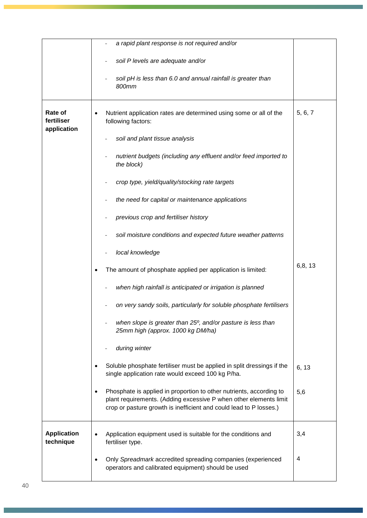|                                      | a rapid plant response is not required and/or                                                                                                                                                                  |          |
|--------------------------------------|----------------------------------------------------------------------------------------------------------------------------------------------------------------------------------------------------------------|----------|
|                                      | soil P levels are adequate and/or                                                                                                                                                                              |          |
|                                      | soil pH is less than 6.0 and annual rainfall is greater than<br>800mm                                                                                                                                          |          |
| Rate of<br>fertiliser<br>application | Nutrient application rates are determined using some or all of the<br>following factors:                                                                                                                       | 5, 6, 7  |
|                                      | soil and plant tissue analysis                                                                                                                                                                                 |          |
|                                      | nutrient budgets (including any effluent and/or feed imported to<br>the block)                                                                                                                                 |          |
|                                      | crop type, yield/quality/stocking rate targets                                                                                                                                                                 |          |
|                                      | the need for capital or maintenance applications                                                                                                                                                               |          |
|                                      | previous crop and fertiliser history                                                                                                                                                                           |          |
|                                      | soil moisture conditions and expected future weather patterns                                                                                                                                                  |          |
|                                      | local knowledge                                                                                                                                                                                                |          |
|                                      | The amount of phosphate applied per application is limited:                                                                                                                                                    | 6, 8, 13 |
|                                      | when high rainfall is anticipated or irrigation is planned                                                                                                                                                     |          |
|                                      | on very sandy soils, particularly for soluble phosphate fertilisers                                                                                                                                            |          |
|                                      | when slope is greater than 25°, and/or pasture is less than<br>25mm high (approx. 1000 kg DM/ha)                                                                                                               |          |
|                                      | during winter                                                                                                                                                                                                  |          |
|                                      | Soluble phosphate fertiliser must be applied in split dressings if the<br>single application rate would exceed 100 kg P/ha.                                                                                    | 6, 13    |
|                                      | Phosphate is applied in proportion to other nutrients, according to<br>plant requirements. (Adding excessive P when other elements limit<br>crop or pasture growth is inefficient and could lead to P losses.) | 5,6      |
| <b>Application</b><br>technique      | Application equipment used is suitable for the conditions and<br>fertiliser type.                                                                                                                              | 3,4      |
|                                      | Only Spreadmark accredited spreading companies (experienced<br>operators and calibrated equipment) should be used                                                                                              | 4        |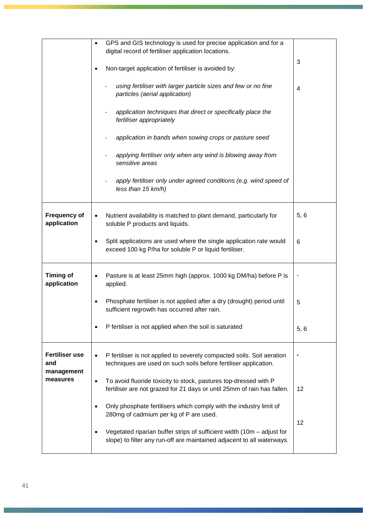|                                    | GPS and GIS technology is used for precise application and for a<br>digital record of fertiliser application locations.                                  |      |
|------------------------------------|----------------------------------------------------------------------------------------------------------------------------------------------------------|------|
|                                    | Non-target application of fertiliser is avoided by:                                                                                                      | 3    |
|                                    | using fertiliser with larger particle sizes and few or no fine<br>particles (aerial application)                                                         | 4    |
|                                    | application techniques that direct or specifically place the<br>fertiliser appropriately                                                                 |      |
|                                    | application in bands when sowing crops or pasture seed                                                                                                   |      |
|                                    | applying fertiliser only when any wind is blowing away from<br>sensitive areas                                                                           |      |
|                                    | apply fertiliser only under agreed conditions (e.g. wind speed of<br>less than 15 km/h)                                                                  |      |
| <b>Frequency of</b><br>application | Nutrient availability is matched to plant demand, particularly for<br>soluble P products and liquids.                                                    | 5,6  |
|                                    | Split applications are used where the single application rate would<br>exceed 100 kg P/ha for soluble P or liquid fertiliser.                            | 6    |
| <b>Timing of</b><br>application    | Pasture is at least 25mm high (approx. 1000 kg DM/ha) before P is<br>applied.                                                                            |      |
|                                    | Phosphate fertiliser is not applied after a dry (drought) period until<br>sufficient regrowth has occurred after rain.                                   | 5    |
|                                    | P fertiliser is not applied when the soil is saturated                                                                                                   | 5, 6 |
| <b>Fertiliser use</b><br>and       | P fertiliser is not applied to severely compacted soils. Soil aeration<br>techniques are used on such soils before fertiliser application.               |      |
| management<br>measures             | To avoid fluoride toxicity to stock, pastures top-dressed with P<br>$\bullet$<br>fertiliser are not grazed for 21 days or until 25mm of rain has fallen. | 12   |
|                                    | Only phosphate fertilisers which comply with the industry limit of<br>280mg of cadmium per kg of P are used.                                             | 12   |
|                                    | Vegetated riparian buffer strips of sufficient width $(10m -$ adjust for<br>slope) to filter any run-off are maintained adjacent to all waterways.       |      |
|                                    |                                                                                                                                                          |      |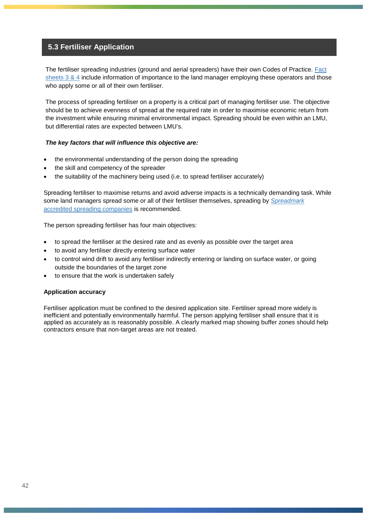### **5.3 Fertiliser Application**

The fertiliser spreading industries (ground and aerial spreaders) have their own Codes of Practice. Fact sheets  $3.8.4$  include information of importance to the land manager employing these operators and those who apply some or all of their own fertiliser.

The process of spreading fertiliser on a property is a critical part of managing fertiliser use. The objective should be to achieve evenness of spread at the required rate in order to maximise economic return from the investment while ensuring minimal environmental impact. Spreading should be even within an LMU, but differential rates are expected between LMU's.

### *The key factors that will influence this objective are:*

- the environmental understanding of the person doing the spreading
- the skill and competency of the spreader
- the suitability of the machinery being used (i.e. to spread fertiliser accurately)

Spreading fertiliser to maximise returns and avoid adverse impacts is a technically demanding task. While some land managers spread some or all of their fertiliser themselves, spreading by *[Spreadmark](http://www.fertqual.co.nz/content.php?content.3)* [accredited spreading companies](http://www.fertqual.co.nz/content.php?content.3) is recommended.

The person spreading fertiliser has four main objectives:

- to spread the fertiliser at the desired rate and as evenly as possible over the target area
- to avoid any fertiliser directly entering surface water
- to control wind drift to avoid any fertiliser indirectly entering or landing on surface water, or going outside the boundaries of the target zone
- to ensure that the work is undertaken safely

### **Application accuracy**

Fertiliser application must be confined to the desired application site. Fertiliser spread more widely is inefficient and potentially environmentally harmful. The person applying fertiliser shall ensure that it is applied as accurately as is reasonably possible. A clearly marked map showing buffer zones should help contractors ensure that non-target areas are not treated.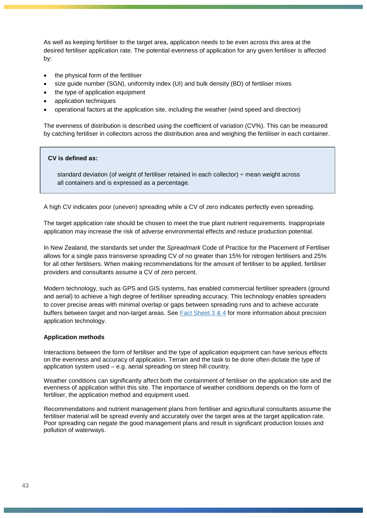As well as keeping fertiliser to the target area, application needs to be even across this area at the desired fertiliser application rate. The potential evenness of application for any given fertiliser is affected by:

- the physical form of the fertiliser
- size guide number (SGN), uniformity index (UI) and bulk density (BD) of fertiliser mixes
- the type of application equipment
- application techniques
- operational factors at the application site, including the weather (wind speed and direction)

The evenness of distribution is described using the coefficient of variation (CV%). This can be measured by catching fertiliser in collectors across the distribution area and weighing the fertiliser in each container.

### **CV is defined as:**

 standard deviation (of weight of fertiliser retained in each collector) ÷ mean weight across all containers and is expressed as a percentage.

A high CV indicates poor (uneven) spreading while a CV of zero indicates perfectly even spreading.

The target application rate should be chosen to meet the true plant nutrient requirements. Inappropriate application may increase the risk of adverse environmental effects and reduce production potential.

In New Zealand, the standards set under the *Spreadmark* Code of Practice for the Placement of Fertiliser allows for a single pass transverse spreading CV of no greater than 15% for nitrogen fertilisers and 25% for all other fertilisers. When making recommendations for the amount of fertiliser to be applied, fertiliser providers and consultants assume a CV of zero percent.

Modern technology, such as GPS and GIS systems, has enabled commercial fertiliser spreaders (ground and aerial) to achieve a high degree of fertiliser spreading accuracy. This technology enables spreaders to cover precise areas with minimal overlap or gaps between spreading runs and to achieve accurate buffers between target and non-target areas. See [Fact Sheet 3](http://fertiliser.org.nz/Site/code_of_practice/fact_sheets/default.aspx) & 4 for more information about precision application technology.

#### **Application methods**

Interactions between the form of fertiliser and the type of application equipment can have serious effects on the evenness and accuracy of application. Terrain and the task to be done often dictate the type of application system used – e.g. aerial spreading on steep hill country.

Weather conditions can significantly affect both the containment of fertiliser on the application site and the evenness of application within this site. The importance of weather conditions depends on the form of fertiliser, the application method and equipment used.

Recommendations and nutrient management plans from fertiliser and agricultural consultants assume the fertiliser material will be spread evenly and accurately over the target area at the target application rate. Poor spreading can negate the good management plans and result in significant production losses and pollution of waterways.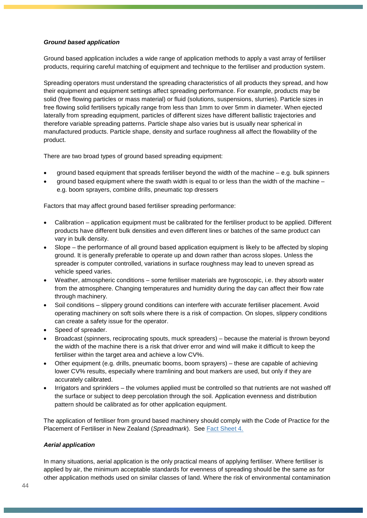### *Ground based application*

Ground based application includes a wide range of application methods to apply a vast array of fertiliser products, requiring careful matching of equipment and technique to the fertiliser and production system.

Spreading operators must understand the spreading characteristics of all products they spread, and how their equipment and equipment settings affect spreading performance. For example, products may be solid (free flowing particles or mass material) or fluid (solutions, suspensions, slurries). Particle sizes in free flowing solid fertilisers typically range from less than 1mm to over 5mm in diameter. When ejected laterally from spreading equipment, particles of different sizes have different ballistic trajectories and therefore variable spreading patterns. Particle shape also varies but is usually near spherical in manufactured products. Particle shape, density and surface roughness all affect the flowability of the product.

There are two broad types of ground based spreading equipment:

- ground based equipment that spreads fertiliser beyond the width of the machine e.g. bulk spinners
- ground based equipment where the swath width is equal to or less than the width of the machine  $$ e.g. boom sprayers, combine drills, pneumatic top dressers

Factors that may affect ground based fertiliser spreading performance:

- Calibration application equipment must be calibrated for the fertiliser product to be applied. Different products have different bulk densities and even different lines or batches of the same product can vary in bulk density.
- Slope the performance of all ground based application equipment is likely to be affected by sloping ground. It is generally preferable to operate up and down rather than across slopes. Unless the spreader is computer controlled, variations in surface roughness may lead to uneven spread as vehicle speed varies.
- Weather, atmospheric conditions some fertiliser materials are hygroscopic, i.e. they absorb water from the atmosphere. Changing temperatures and humidity during the day can affect their flow rate through machinery.
- Soil conditions slippery ground conditions can interfere with accurate fertiliser placement. Avoid operating machinery on soft soils where there is a risk of compaction. On slopes, slippery conditions can create a safety issue for the operator.
- Speed of spreader.
- Broadcast (spinners, reciprocating spouts, muck spreaders) because the material is thrown beyond the width of the machine there is a risk that driver error and wind will make it difficult to keep the fertiliser within the target area and achieve a low CV%.
- Other equipment (e.g. drills, pneumatic booms, boom sprayers) these are capable of achieving lower CV% results, especially where tramlining and bout markers are used, but only if they are accurately calibrated.
- Irrigators and sprinklers the volumes applied must be controlled so that nutrients are not washed off the surface or subject to deep percolation through the soil. Application evenness and distribution pattern should be calibrated as for other application equipment.

The application of fertiliser from ground based machinery should comply with the Code of Practice for the Placement of Fertiliser in New Zealand (*Spreadmark*). See [Fact Sheet 4.](http://fertiliser.org.nz/Site/code_of_practice/fact_sheets/default.aspx)

#### *Aerial application*

In many situations, aerial application is the only practical means of applying fertiliser. Where fertiliser is applied by air, the minimum acceptable standards for evenness of spreading should be the same as for other application methods used on similar classes of land. Where the risk of environmental contamination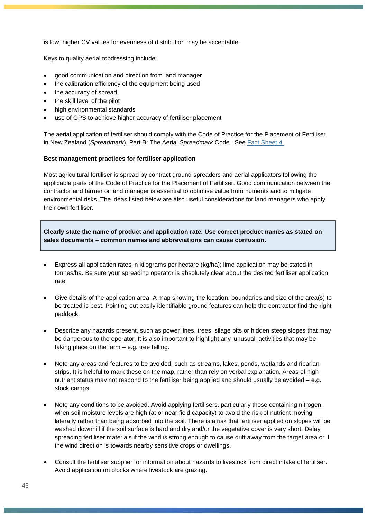is low, higher CV values for evenness of distribution may be acceptable.

Keys to quality aerial topdressing include:

- good communication and direction from land manager
- the calibration efficiency of the equipment being used
- the accuracy of spread
- the skill level of the pilot
- high environmental standards
- use of GPS to achieve higher accuracy of fertiliser placement

The aerial application of fertiliser should comply with the Code of Practice for the Placement of Fertiliser in New Zealand (*Spreadmark*), Part B: The Aerial *Spreadmark* Code. See [Fact Sheet 4.](http://fertiliser.org.nz/Site/code_of_practice/fact_sheets/default.aspx)

### **Best management practices for fertiliser application**

Most agricultural fertiliser is spread by contract ground spreaders and aerial applicators following the applicable parts of the Code of Practice for the Placement of Fertiliser. Good communication between the contractor and farmer or land manager is essential to optimise value from nutrients and to mitigate environmental risks. The ideas listed below are also useful considerations for land managers who apply their own fertiliser.

**Clearly state the name of product and application rate. Use correct product names as stated on sales documents – common names and abbreviations can cause confusion.**

- Express all application rates in kilograms per hectare (kg/ha); lime application may be stated in tonnes/ha. Be sure your spreading operator is absolutely clear about the desired fertiliser application rate.
- Give details of the application area. A map showing the location, boundaries and size of the area(s) to be treated is best. Pointing out easily identifiable ground features can help the contractor find the right paddock.
- Describe any hazards present, such as power lines, trees, silage pits or hidden steep slopes that may be dangerous to the operator. It is also important to highlight any 'unusual' activities that may be taking place on the farm  $-$  e.g. tree felling.
- Note any areas and features to be avoided, such as streams, lakes, ponds, wetlands and riparian strips. It is helpful to mark these on the map, rather than rely on verbal explanation. Areas of high nutrient status may not respond to the fertiliser being applied and should usually be avoided – e.g. stock camps.
- Note any conditions to be avoided. Avoid applying fertilisers, particularly those containing nitrogen, when soil moisture levels are high (at or near field capacity) to avoid the risk of nutrient moving laterally rather than being absorbed into the soil. There is a risk that fertiliser applied on slopes will be washed downhill if the soil surface is hard and dry and/or the vegetative cover is very short. Delay spreading fertiliser materials if the wind is strong enough to cause drift away from the target area or if the wind direction is towards nearby sensitive crops or dwellings.
- Consult the fertiliser supplier for information about hazards to livestock from direct intake of fertiliser. Avoid application on blocks where livestock are grazing.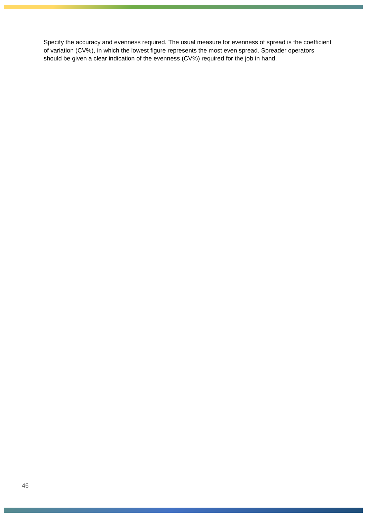Specify the accuracy and evenness required. The usual measure for evenness of spread is the coefficient of variation (CV%), in which the lowest figure represents the most even spread. Spreader operators should be given a clear indication of the evenness (CV%) required for the job in hand.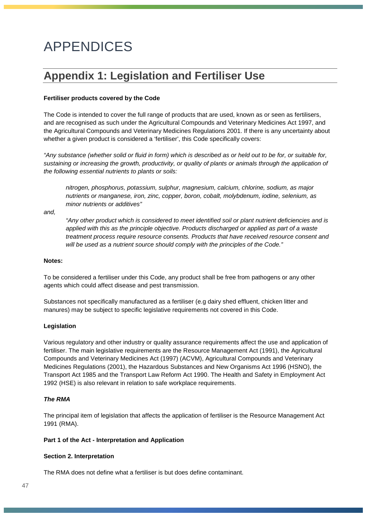# APPENDICES

# **Appendix 1: Legislation and Fertiliser Use**

### **Fertiliser products covered by the Code**

The Code is intended to cover the full range of products that are used, known as or seen as fertilisers, and are recognised as such under the Agricultural Compounds and Veterinary Medicines Act 1997, and the Agricultural Compounds and Veterinary Medicines Regulations 2001. If there is any uncertainty about whether a given product is considered a 'fertiliser', this Code specifically covers:

*"Any substance (whether solid or fluid in form) which is described as or held out to be for, or suitable for, sustaining or increasing the growth, productivity, or quality of plants or animals through the application of the following essential nutrients to plants or soils:*

*nitrogen, phosphorus, potassium, sulphur, magnesium, calcium, chlorine, sodium, as major nutrients or manganese, iron, zinc, copper, boron, cobalt, molybdenum, iodine, selenium, as minor nutrients or additives"*

*and,*

*"Any other product which is considered to meet identified soil or plant nutrient deficiencies and is applied with this as the principle objective. Products discharged or applied as part of a waste treatment process require resource consents. Products that have received resource consent and will be used as a nutrient source should comply with the principles of the Code."*

### **Notes:**

To be considered a fertiliser under this Code, any product shall be free from pathogens or any other agents which could affect disease and pest transmission.

Substances not specifically manufactured as a fertiliser (e.g dairy shed effluent, chicken litter and manures) may be subject to specific legislative requirements not covered in this Code.

### **Legislation**

Various regulatory and other industry or quality assurance requirements affect the use and application of fertiliser. The main legislative requirements are the Resource Management Act (1991), the Agricultural Compounds and Veterinary Medicines Act (1997) (ACVM), Agricultural Compounds and Veterinary Medicines Regulations (2001), the Hazardous Substances and New Organisms Act 1996 (HSNO), the Transport Act 1985 and the Transport Law Reform Act 1990. The Health and Safety in Employment Act 1992 (HSE) is also relevant in relation to safe workplace requirements.

### *The RMA*

The principal item of legislation that affects the application of fertiliser is the Resource Management Act 1991 (RMA).

### **Part 1 of the Act - Interpretation and Application**

### **Section 2. Interpretation**

The RMA does not define what a fertiliser is but does define contaminant.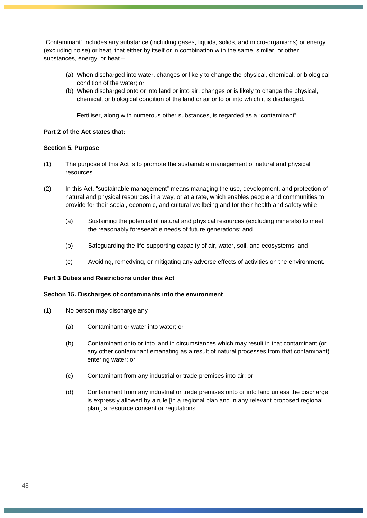"Contaminant" includes any substance (including gases, liquids, solids, and micro-organisms) or energy (excluding noise) or heat, that either by itself or in combination with the same, similar, or other substances, energy, or heat –

- (a) When discharged into water, changes or likely to change the physical, chemical, or biological condition of the water; or
- (b) When discharged onto or into land or into air, changes or is likely to change the physical, chemical, or biological condition of the land or air onto or into which it is discharged.

Fertiliser, along with numerous other substances, is regarded as a "contaminant".

### **Part 2 of the Act states that:**

### **Section 5. Purpose**

- (1) The purpose of this Act is to promote the sustainable management of natural and physical resources
- (2) In this Act, "sustainable management" means managing the use, development, and protection of natural and physical resources in a way, or at a rate, which enables people and communities to provide for their social, economic, and cultural wellbeing and for their health and safety while
	- (a) Sustaining the potential of natural and physical resources (excluding minerals) to meet the reasonably foreseeable needs of future generations; and
	- (b) Safeguarding the life-supporting capacity of air, water, soil, and ecosystems; and
	- (c) Avoiding, remedying, or mitigating any adverse effects of activities on the environment.

### **Part 3 Duties and Restrictions under this Act**

### **Section 15. Discharges of contaminants into the environment**

- (1) No person may discharge any
	- (a) Contaminant or water into water; or
	- (b) Contaminant onto or into land in circumstances which may result in that contaminant (or any other contaminant emanating as a result of natural processes from that contaminant) entering water; or
	- (c) Contaminant from any industrial or trade premises into air; or
	- (d) Contaminant from any industrial or trade premises onto or into land unless the discharge is expressly allowed by a rule [in a regional plan and in any relevant proposed regional plan], a resource consent or regulations.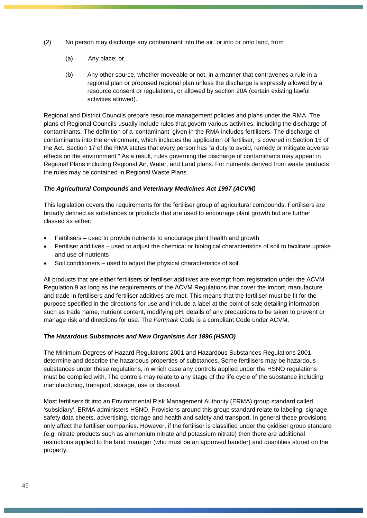- (2) No person may discharge any contaminant into the air, or into or onto land, from
	- (a) Any place; or
	- (b) Any other source, whether moveable or not, in a manner that contravenes a rule in a regional plan or proposed regional plan unless the discharge is expressly allowed by a resource consent or regulations, or allowed by section 20A (certain existing lawful activities allowed).

Regional and District Councils prepare resource management policies and plans under the RMA. The plans of Regional Councils usually include rules that govern various activities, including the discharge of contaminants. The definition of a 'contaminant' given in the RMA includes fertilisers. The discharge of contaminants into the environment, which includes the application of fertiliser, is covered in Section 15 of the Act. Section 17 of the RMA states that every person has "a duty to avoid, remedy or mitigate adverse effects on the environment." As a result, rules governing the discharge of contaminants may appear in Regional Plans including Regional Air, Water, and Land plans. For nutrients derived from waste products the rules may be contained in Regional Waste Plans.

### *The Agricultural Compounds and Veterinary Medicines Act 1997 (ACVM)*

This legislation covers the requirements for the fertiliser group of agricultural compounds. Fertilisers are broadly defined as substances or products that are used to encourage plant growth but are further classed as either:

- Fertilisers used to provide nutrients to encourage plant health and growth
- Fertiliser additives used to adjust the chemical or biological characteristics of soil to facilitate uptake and use of nutrients
- Soil conditioners used to adjust the physical characteristics of soil.

All products that are either fertilisers or fertiliser additives are exempt from registration under the ACVM Regulation 9 as long as the requirements of the ACVM Regulations that cover the import, manufacture and trade in fertilisers and fertiliser additives are met. This means that the fertiliser must be fit for the purpose specified in the directions for use and include a label at the point of sale detailing information such as trade name, nutrient content, modifying pH, details of any precautions to be taken to prevent or manage risk and directions for use. The *Fertmark* Code is a compliant Code under ACVM.

### *The Hazardous Substances and New Organisms Act 1996 (HSNO)*

The Minimum Degrees of Hazard Regulations 2001 and Hazardous Substances Regulations 2001 determine and describe the hazardous properties of substances. Some fertilisers may be hazardous substances under these regulations, in which case any controls applied under the HSNO regulations must be complied with. The controls may relate to any stage of the life cycle of the substance including manufacturing, transport, storage, use or disposal.

Most fertilisers fit into an Environmental Risk Management Authority (ERMA) group standard called 'subsidiary'. ERMA administers HSNO. Provisions around this group standard relate to labeling, signage, safety data sheets, advertising, storage and health and safety and transport. In general these provisions only affect the fertiliser companies. However, if the fertiliser is classified under the oxidiser group standard (e.g. nitrate products such as ammonium nitrate and potassium nitrate) then there are additional restrictions applied to the land manager (who must be an approved handler) and quantities stored on the property.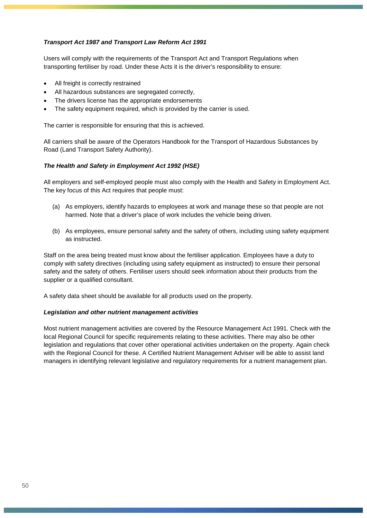### *Transport Act 1987 and Transport Law Reform Act 1991*

Users will comply with the requirements of the Transport Act and Transport Regulations when transporting fertiliser by road. Under these Acts it is the driver's responsibility to ensure:

- All freight is correctly restrained
- All hazardous substances are segregated correctly,
- The drivers license has the appropriate endorsements
- The safety equipment required, which is provided by the carrier is used.

The carrier is responsible for ensuring that this is achieved.

All carriers shall be aware of the Operators Handbook for the Transport of Hazardous Substances by Road (Land Transport Safety Authority).

### *The Health and Safety in Employment Act 1992 (HSE)*

All employers and self-employed people must also comply with the Health and Safety in Employment Act. The key focus of this Act requires that people must:

- (a) As employers, identify hazards to employees at work and manage these so that people are not harmed. Note that a driver's place of work includes the vehicle being driven.
- (b) As employees, ensure personal safety and the safety of others, including using safety equipment as instructed.

Staff on the area being treated must know about the fertiliser application. Employees have a duty to comply with safety directives (including using safety equipment as instructed) to ensure their personal safety and the safety of others. Fertiliser users should seek information about their products from the supplier or a qualified consultant.

A safety data sheet should be available for all products used on the property.

#### *Legislation and other nutrient management activities*

Most nutrient management activities are covered by the Resource Management Act 1991. Check with the local Regional Council for specific requirements relating to these activities. There may also be other legislation and regulations that cover other operational activities undertaken on the property. Again check with the Regional Council for these. A Certified Nutrient Management Adviser will be able to assist land managers in identifying relevant legislative and regulatory requirements for a nutrient management plan.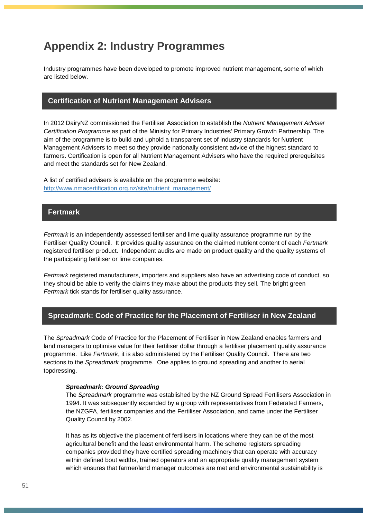# **Appendix 2: Industry Programmes**

Industry programmes have been developed to promote improved nutrient management, some of which are listed below.

### **Certification of Nutrient Management Advisers**

In 2012 DairyNZ commissioned the Fertiliser Association to establish the *Nutrient Management Adviser Certification Programme* as part of the Ministry for Primary Industries' Primary Growth Partnership. The aim of the programme is to build and uphold a transparent set of industry standards for Nutrient Management Advisers to meet so they provide nationally consistent advice of the highest standard to farmers. Certification is open for all Nutrient Management Advisers who have the required prerequisites and meet the standards set for New Zealand.

A list of certified advisers is available on the programme website: [http://www.nmacertification.org.nz/site/nutrient\\_management/](http://www.nmacertification.org.nz/site/nutrient_management/)

### **Fertmark**

*Fertmark* is an independently assessed fertiliser and lime quality assurance programme run by the Fertiliser Quality Council. It provides quality assurance on the claimed nutrient content of each *Fertmark*  registered fertiliser product. Independent audits are made on product quality and the quality systems of the participating fertiliser or lime companies.

*Fertmark* registered manufacturers, importers and suppliers also have an advertising code of conduct, so they should be able to verify the claims they make about the products they sell. The bright green *Fertmark* tick stands for fertiliser quality assurance.

### **Spreadmark: Code of Practice for the Placement of Fertiliser in New Zealand**

The *Spreadmark* Code of Practice for the Placement of Fertiliser in New Zealand enables farmers and land managers to optimise value for their fertiliser dollar through a fertiliser placement quality assurance programme. Like *Fertmark*, it is also administered by the Fertiliser Quality Council. There are two sections to the *Spreadmark* programme. One applies to ground spreading and another to aerial topdressing.

#### *Spreadmark: Ground Spreading*

The *Spreadmark* programme was established by the NZ Ground Spread Fertilisers Association in 1994. It was subsequently expanded by a group with representatives from Federated Farmers, the NZGFA, fertiliser companies and the Fertiliser Association, and came under the Fertiliser Quality Council by 2002.

It has as its objective the placement of fertilisers in locations where they can be of the most agricultural benefit and the least environmental harm. The scheme registers spreading companies provided they have certified spreading machinery that can operate with accuracy within defined bout widths, trained operators and an appropriate quality management system which ensures that farmer/land manager outcomes are met and environmental sustainability is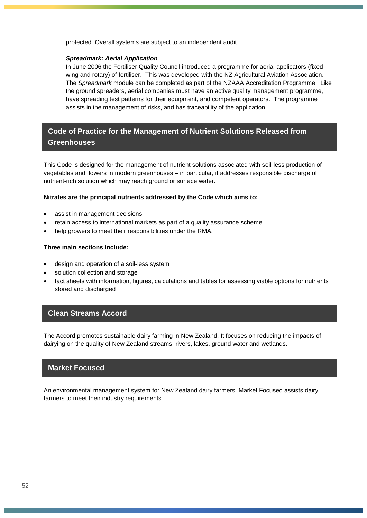protected. Overall systems are subject to an independent audit.

#### *Spreadmark: Aerial Application*

In June 2006 the Fertiliser Quality Council introduced a programme for aerial applicators (fixed wing and rotary) of fertiliser. This was developed with the NZ Agricultural Aviation Association. The *Spreadmark* module can be completed as part of the NZAAA Accreditation Programme. Like the ground spreaders, aerial companies must have an active quality management programme, have spreading test patterns for their equipment, and competent operators. The programme assists in the management of risks, and has traceability of the application.

### **Code of Practice for the Management of Nutrient Solutions Released from Greenhouses**

This Code is designed for the management of nutrient solutions associated with soil-less production of vegetables and flowers in modern greenhouses – in particular, it addresses responsible discharge of nutrient-rich solution which may reach ground or surface water.

#### **Nitrates are the principal nutrients addressed by the Code which aims to:**

- assist in management decisions
- retain access to international markets as part of a quality assurance scheme
- help growers to meet their responsibilities under the RMA.

### **Three main sections include:**

- design and operation of a soil-less system
- solution collection and storage
- fact sheets with information, figures, calculations and tables for assessing viable options for nutrients stored and discharged

### **Clean Streams Accord**

The Accord promotes sustainable dairy farming in New Zealand. It focuses on reducing the impacts of dairying on the quality of New Zealand streams, rivers, lakes, ground water and wetlands.

### **Market Focused**

An environmental management system for New Zealand dairy farmers. Market Focused assists dairy farmers to meet their industry requirements.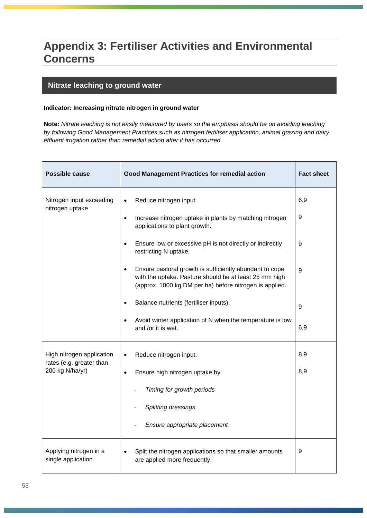# **Appendix 3: Fertiliser Activities and Environmental Concerns**

### **Nitrate leaching to ground water**

### **Indicator: Increasing nitrate nitrogen in ground water**

**Note:** *Nitrate leaching is not easily measured by users so the emphasis should be on avoiding leaching by following Good Management Practices such as nitrogen fertiliser application, animal grazing and dairy effluent irrigation rather than remedial action after it has occurred.*

| <b>Possible cause</b>                                 | <b>Good Management Practices for remedial action</b>                                                                                                                         | <b>Fact sheet</b> |
|-------------------------------------------------------|------------------------------------------------------------------------------------------------------------------------------------------------------------------------------|-------------------|
| Nitrogen input exceeding<br>nitrogen uptake           | Reduce nitrogen input.<br>$\bullet$                                                                                                                                          | 6,9               |
|                                                       | Increase nitrogen uptake in plants by matching nitrogen<br>$\bullet$<br>applications to plant growth.                                                                        | 9                 |
|                                                       | Ensure low or excessive pH is not directly or indirectly<br>$\bullet$<br>restricting N uptake.                                                                               | 9                 |
|                                                       | Ensure pastoral growth is sufficiently abundant to cope<br>with the uptake. Pasture should be at least 25 mm high<br>(approx. 1000 kg DM per ha) before nitrogen is applied. | 9                 |
|                                                       | Balance nutrients (fertiliser inputs).                                                                                                                                       | 9                 |
|                                                       | Avoid winter application of N when the temperature is low<br>$\bullet$<br>and /or it is wet.                                                                                 | 6,9               |
| High nitrogen application<br>rates (e.g. greater than | Reduce nitrogen input.<br>$\bullet$                                                                                                                                          | 8,9               |
| 200 kg N/ha/yr)                                       | Ensure high nitrogen uptake by:<br>$\bullet$                                                                                                                                 | 8,9               |
|                                                       | Timing for growth periods                                                                                                                                                    |                   |
|                                                       | Splitting dressings                                                                                                                                                          |                   |
|                                                       | Ensure appropriate placement                                                                                                                                                 |                   |
| Applying nitrogen in a<br>single application          | Split the nitrogen applications so that smaller amounts<br>are applied more frequently.                                                                                      | 9                 |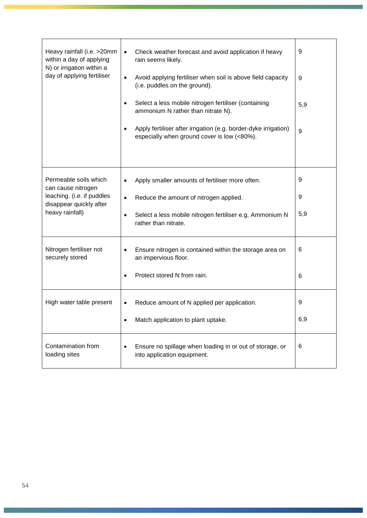| Heavy rainfall (i.e. >20mm<br>within a day of applying<br>N) or irrigation within a<br>day of applying fertiliser       | Check weather forecast and avoid application if heavy<br>$\bullet$<br>rain seems likely.<br>Avoid applying fertiliser when soil is above field capacity<br>$\bullet$<br>(i.e. puddles on the ground).<br>Select a less mobile nitrogen fertiliser (containing<br>$\bullet$<br>ammonium N rather than nitrate N).<br>Apply fertiliser after irrigation (e.g. border-dyke irrigation)<br>$\bullet$<br>especially when ground cover is low (<80%). | 9<br>9<br>5,9<br>9 |
|-------------------------------------------------------------------------------------------------------------------------|-------------------------------------------------------------------------------------------------------------------------------------------------------------------------------------------------------------------------------------------------------------------------------------------------------------------------------------------------------------------------------------------------------------------------------------------------|--------------------|
| Permeable soils which<br>can cause nitrogen<br>leaching. (i.e. if puddles<br>disappear quickly after<br>heavy rainfall) | Apply smaller amounts of fertiliser more often.<br>Reduce the amount of nitrogen applied.<br>$\bullet$<br>Select a less mobile nitrogen fertiliser e.g. Ammonium N<br>٠<br>rather than nitrate.                                                                                                                                                                                                                                                 | 9<br>9<br>5,9      |
| Nitrogen fertiliser not<br>securely stored                                                                              | Ensure nitrogen is contained within the storage area on<br>٠<br>an impervious floor.<br>Protect stored N from rain.                                                                                                                                                                                                                                                                                                                             | 6<br>6             |
| High water table present                                                                                                | Reduce amount of N applied per application.<br>٠<br>Match application to plant uptake.                                                                                                                                                                                                                                                                                                                                                          | 9<br>6,9           |
| Contamination from<br>loading sites                                                                                     | Ensure no spillage when loading in or out of storage, or<br>$\bullet$<br>into application equipment.                                                                                                                                                                                                                                                                                                                                            | 6                  |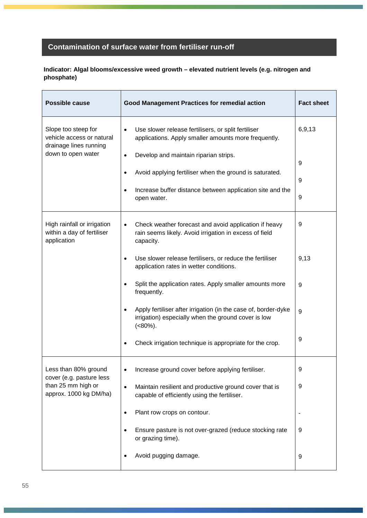### **Contamination of surface water from fertiliser run-off**

### **Indicator: Algal blooms/excessive weed growth – elevated nutrient levels (e.g. nitrogen and phosphate)**

| <b>Possible cause</b>                                                      | <b>Good Management Practices for remedial action</b>                                                                                                                                           | <b>Fact sheet</b> |
|----------------------------------------------------------------------------|------------------------------------------------------------------------------------------------------------------------------------------------------------------------------------------------|-------------------|
| Slope too steep for<br>vehicle access or natural<br>drainage lines running | Use slower release fertilisers, or split fertiliser<br>٠<br>applications. Apply smaller amounts more frequently.                                                                               | 6,9,13            |
| down to open water                                                         | Develop and maintain riparian strips.<br>$\bullet$<br>Avoid applying fertiliser when the ground is saturated.<br>Increase buffer distance between application site and the<br>٠<br>open water. | 9<br>9<br>9       |
| High rainfall or irrigation<br>within a day of fertiliser<br>application   | Check weather forecast and avoid application if heavy<br>٠<br>rain seems likely. Avoid irrigation in excess of field<br>capacity.                                                              | 9                 |
|                                                                            | Use slower release fertilisers, or reduce the fertiliser<br>application rates in wetter conditions.                                                                                            | 9,13              |
|                                                                            | Split the application rates. Apply smaller amounts more<br>frequently.                                                                                                                         | 9                 |
|                                                                            | Apply fertiliser after irrigation (in the case of, border-dyke<br>$\bullet$<br>irrigation) especially when the ground cover is low<br>$(<80\%)$ .                                              | 9                 |
|                                                                            | Check irrigation technique is appropriate for the crop.                                                                                                                                        | 9                 |
| Less than 80% ground<br>cover (e.g. pasture less                           | Increase ground cover before applying fertiliser.<br>٠                                                                                                                                         | 9                 |
| than 25 mm high or<br>approx. 1000 kg DM/ha)                               | Maintain resilient and productive ground cover that is<br>$\bullet$<br>capable of efficiently using the fertiliser.                                                                            | 9                 |
|                                                                            | Plant row crops on contour.<br>٠                                                                                                                                                               |                   |
|                                                                            | Ensure pasture is not over-grazed (reduce stocking rate<br>or grazing time).                                                                                                                   | 9                 |
|                                                                            | Avoid pugging damage.                                                                                                                                                                          | 9                 |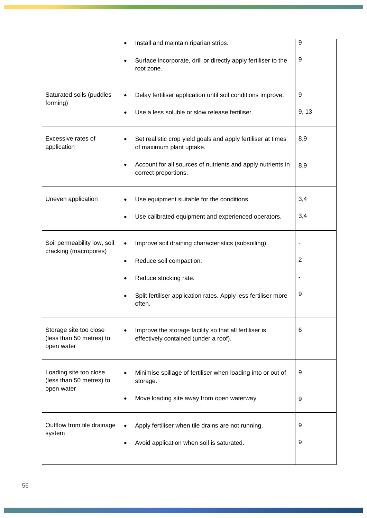|                                                                  | Install and maintain riparian strips.<br>$\bullet$<br>Surface incorporate, drill or directly apply fertiliser to the<br>root zone.                                                                            | 9<br>9     |
|------------------------------------------------------------------|---------------------------------------------------------------------------------------------------------------------------------------------------------------------------------------------------------------|------------|
| Saturated soils (puddles<br>forming)                             | Delay fertiliser application until soil conditions improve.<br>Use a less soluble or slow release fertiliser.<br>$\bullet$                                                                                    | 9<br>9, 13 |
| Excessive rates of<br>application                                | Set realistic crop yield goals and apply fertiliser at times<br>$\bullet$<br>of maximum plant uptake.<br>Account for all sources of nutrients and apply nutrients in<br>$\bullet$<br>correct proportions.     | 8,9<br>8,9 |
| Uneven application                                               | Use equipment suitable for the conditions.<br>Use calibrated equipment and experienced operators.<br>٠                                                                                                        | 3,4<br>3,4 |
| Soil permeability low, soil<br>cracking (macropores)             | Improve soil draining characteristics (subsoiling).<br>$\bullet$<br>Reduce soil compaction.<br>$\bullet$<br>Reduce stocking rate.<br>Split fertiliser application rates. Apply less fertiliser more<br>often. | 2<br>9     |
| Storage site too close<br>(less than 50 metres) to<br>open water | Improve the storage facility so that all fertiliser is<br>effectively contained (under a roof).                                                                                                               | 6          |
| Loading site too close<br>(less than 50 metres) to<br>open water | Minimise spillage of fertiliser when loading into or out of<br>storage.<br>Move loading site away from open waterway.<br>$\bullet$                                                                            | 9<br>9     |
| Outflow from tile drainage<br>system                             | Apply fertiliser when tile drains are not running.<br>$\bullet$<br>Avoid application when soil is saturated.                                                                                                  | 9<br>9     |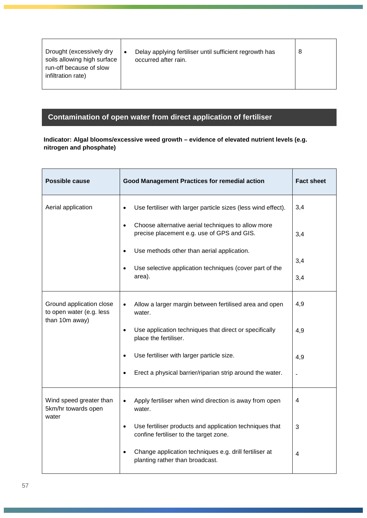| Drought (excessively dry<br>soils allowing high surface<br>run-off because of slow<br>infiltration rate) |  | Delay applying fertiliser until sufficient regrowth has<br>occurred after rain. | 8 |
|----------------------------------------------------------------------------------------------------------|--|---------------------------------------------------------------------------------|---|
|----------------------------------------------------------------------------------------------------------|--|---------------------------------------------------------------------------------|---|

## **Contamination of open water from direct application of fertiliser**

### **Indicator: Algal blooms/excessive weed growth – evidence of elevated nutrient levels (e.g. nitrogen and phosphate)**

| <b>Possible cause</b>                                                  | <b>Good Management Practices for remedial action</b>                                                           | <b>Fact sheet</b> |
|------------------------------------------------------------------------|----------------------------------------------------------------------------------------------------------------|-------------------|
| Aerial application                                                     | Use fertiliser with larger particle sizes (less wind effect).<br>$\bullet$                                     | 3,4               |
|                                                                        | Choose alternative aerial techniques to allow more<br>$\bullet$<br>precise placement e.g. use of GPS and GIS.  | 3,4               |
|                                                                        | Use methods other than aerial application.                                                                     |                   |
|                                                                        | Use selective application techniques (cover part of the<br>$\bullet$                                           | 3,4               |
|                                                                        | area).                                                                                                         | 3,4               |
| Ground application close<br>to open water (e.g. less<br>than 10m away) | Allow a larger margin between fertilised area and open<br>$\bullet$<br>water.                                  | 4,9               |
|                                                                        | Use application techniques that direct or specifically<br>$\bullet$<br>place the fertiliser.                   | 4,9               |
|                                                                        | Use fertiliser with larger particle size.                                                                      | 4,9               |
|                                                                        | Erect a physical barrier/riparian strip around the water.<br>$\bullet$                                         |                   |
| Wind speed greater than<br>5km/hr towards open<br>water                | Apply fertiliser when wind direction is away from open<br>$\bullet$<br>water.                                  | 4                 |
|                                                                        | Use fertiliser products and application techniques that<br>$\bullet$<br>confine fertiliser to the target zone. | 3                 |
|                                                                        | Change application techniques e.g. drill fertiliser at<br>$\bullet$<br>planting rather than broadcast.         | 4                 |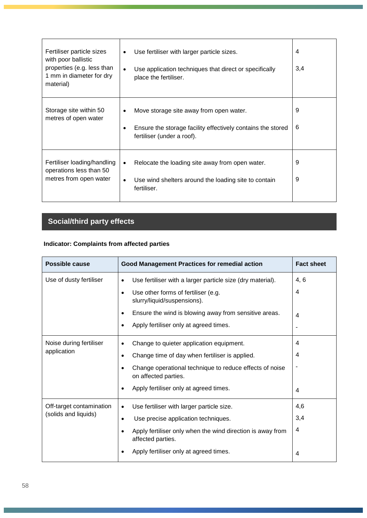| Fertiliser particle sizes<br>with poor ballistic<br>properties (e.g. less than<br>1 mm in diameter for dry<br>material) | Use fertiliser with larger particle sizes.<br>Use application techniques that direct or specifically<br>$\bullet$<br>place the fertiliser. | 4<br>3,4 |
|-------------------------------------------------------------------------------------------------------------------------|--------------------------------------------------------------------------------------------------------------------------------------------|----------|
| Storage site within 50<br>metres of open water                                                                          | Move storage site away from open water.<br>Ensure the storage facility effectively contains the stored<br>fertiliser (under a roof).       | 9<br>6   |
| Fertiliser loading/handling<br>operations less than 50<br>metres from open water                                        | Relocate the loading site away from open water.<br>$\bullet$<br>Use wind shelters around the loading site to contain<br>fertiliser.        | 9<br>9   |

# **Social/third party effects**

### **Indicator: Complaints from affected parties**

| <b>Possible cause</b>                            | <b>Good Management Practices for remedial action</b>                                                                                                                                                                                                                                    | <b>Fact sheet</b>           |
|--------------------------------------------------|-----------------------------------------------------------------------------------------------------------------------------------------------------------------------------------------------------------------------------------------------------------------------------------------|-----------------------------|
| Use of dusty fertiliser                          | Use fertiliser with a larger particle size (dry material).<br>$\bullet$<br>Use other forms of fertiliser (e.g.<br>$\bullet$<br>slurry/liquid/suspensions).<br>Ensure the wind is blowing away from sensitive areas.<br>$\bullet$<br>Apply fertiliser only at agreed times.<br>$\bullet$ | 4, 6<br>$\overline{4}$<br>4 |
| Noise during fertiliser<br>application           | Change to quieter application equipment.<br>$\bullet$<br>Change time of day when fertiliser is applied.<br>$\bullet$<br>Change operational technique to reduce effects of noise<br>$\bullet$<br>on affected parties.<br>Apply fertiliser only at agreed times.<br>$\bullet$             | 4<br>4<br>4                 |
| Off-target contamination<br>(solids and liquids) | Use fertiliser with larger particle size.<br>$\bullet$<br>Use precise application techniques.<br>$\bullet$<br>Apply fertiliser only when the wind direction is away from<br>$\bullet$<br>affected parties.<br>Apply fertiliser only at agreed times.<br>$\bullet$                       | 4,6<br>3,4<br>4<br>4        |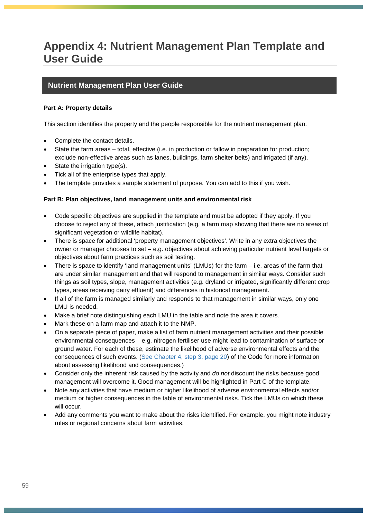# **Appendix 4: Nutrient Management Plan Template and User Guide**

### **Nutrient Management Plan User Guide**

### **Part A: Property details**

This section identifies the property and the people responsible for the nutrient management plan.

- Complete the contact details.
- State the farm areas total, effective (i.e. in production or fallow in preparation for production; exclude non-effective areas such as lanes, buildings, farm shelter belts) and irrigated (if any).
- State the irrigation type(s).
- Tick all of the enterprise types that apply.
- The template provides a sample statement of purpose. You can add to this if you wish.

### **Part B: Plan objectives, land management units and environmental risk**

- Code specific objectives are supplied in the template and must be adopted if they apply. If you choose to reject any of these, attach justification (e.g. a farm map showing that there are no areas of significant vegetation or wildlife habitat).
- There is space for additional 'property management objectives'. Write in any extra objectives the owner or manager chooses to set – e.g. objectives about achieving particular nutrient level targets or objectives about farm practices such as soil testing.
- There is space to identify 'land management units' (LMUs) for the farm i.e. areas of the farm that are under similar management and that will respond to management in similar ways. Consider such things as soil types, slope, management activities (e.g. dryland or irrigated, significantly different crop types, areas receiving dairy effluent) and differences in historical management.
- If all of the farm is managed similarly and responds to that management in similar ways, only one LMU is needed.
- Make a brief note distinguishing each LMU in the table and note the area it covers.
- Mark these on a farm map and attach it to the NMP.
- On a separate piece of paper, make a list of farm nutrient management activities and their possible environmental consequences – e.g. nitrogen fertiliser use might lead to contamination of surface or ground water. For each of these, estimate the likelihood of adverse environmental effects and the consequences of such events. [\(See Chapter 4, step 3, page 20\)](#page-19-0) of the Code for more information about assessing likelihood and consequences.)
- Consider only the inherent risk caused by the activity and *do not* discount the risks because good management will overcome it. Good management will be highlighted in Part C of the template.
- Note any activities that have medium or higher likelihood of adverse environmental effects and/or medium or higher consequences in the table of environmental risks. Tick the LMUs on which these will occur.
- Add any comments you want to make about the risks identified. For example, you might note industry rules or regional concerns about farm activities.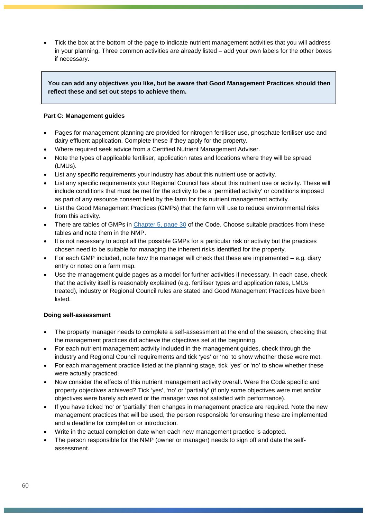• Tick the box at the bottom of the page to indicate nutrient management activities that you will address in your planning. Three common activities are already listed – add your own labels for the other boxes if necessary.

### **You can add any objectives you like, but be aware that Good Management Practices should then reflect these and set out steps to achieve them.**

### **Part C: Management guides**

- Pages for management planning are provided for nitrogen fertiliser use, phosphate fertiliser use and dairy effluent application. Complete these if they apply for the property.
- Where required seek advice from a Certified Nutrient Management Adviser.
- Note the types of applicable fertiliser, application rates and locations where they will be spread (LMUs).
- List any specific requirements your industry has about this nutrient use or activity.
- List any specific requirements your Regional Council has about this nutrient use or activity. These will include conditions that must be met for the activity to be a 'permitted activity' or conditions imposed as part of any resource consent held by the farm for this nutrient management activity.
- List the Good Management Practices (GMPs) that the farm will use to reduce environmental risks from this activity.
- There are tables of GMPs in [Chapter 5, page 30](#page-29-0) of the Code. Choose suitable practices from these tables and note them in the NMP.
- It is not necessary to adopt all the possible GMPs for a particular risk or activity but the practices chosen need to be suitable for managing the inherent risks identified for the property.
- For each GMP included, note how the manager will check that these are implemented e.g. diary entry or noted on a farm map.
- Use the management guide pages as a model for further activities if necessary. In each case, check that the activity itself is reasonably explained (e.g. fertiliser types and application rates, LMUs treated), industry or Regional Council rules are stated and Good Management Practices have been listed.

### **Doing self-assessment**

- The property manager needs to complete a self-assessment at the end of the season, checking that the management practices did achieve the objectives set at the beginning.
- For each nutrient management activity included in the management guides, check through the industry and Regional Council requirements and tick 'yes' or 'no' to show whether these were met.
- For each management practice listed at the planning stage, tick 'yes' or 'no' to show whether these were actually practiced.
- Now consider the effects of this nutrient management activity overall. Were the Code specific and property objectives achieved? Tick 'yes', 'no' or 'partially' (if only some objectives were met and/or objectives were barely achieved or the manager was not satisfied with performance).
- If you have ticked 'no' or 'partially' then changes in management practice are required. Note the new management practices that will be used, the person responsible for ensuring these are implemented and a deadline for completion or introduction.
- Write in the actual completion date when each new management practice is adopted.
- The person responsible for the NMP (owner or manager) needs to sign off and date the selfassessment.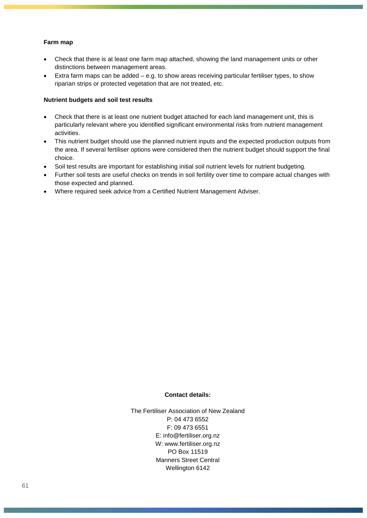### **Farm map**

- Check that there is at least one farm map attached, showing the land management units or other distinctions between management areas.
- Extra farm maps can be added e.g. to show areas receiving particular fertiliser types, to show riparian strips or protected vegetation that are not treated, etc.

### **Nutrient budgets and soil test results**

- Check that there is at least one nutrient budget attached for each land management unit, this is particularly relevant where you identified significant environmental risks from nutrient management activities.
- This nutrient budget should use the planned nutrient inputs and the expected production outputs from the area. If several fertiliser options were considered then the nutrient budget should support the final choice.
- Soil test results are important for establishing initial soil nutrient levels for nutrient budgeting.
- Further soil tests are useful checks on trends in soil fertility over time to compare actual changes with those expected and planned.
- Where required seek advice from a Certified Nutrient Management Adviser.

### **Contact details:**

The Fertiliser Association of New Zealand P: 04 473 6552 F: 09 473 6551 E: [info@fertiliser.org.nz](mailto:info@fertresearch.org.nz) W: www.fertiliser.org.nz PO Box 11519 Manners Street Central Wellington 6142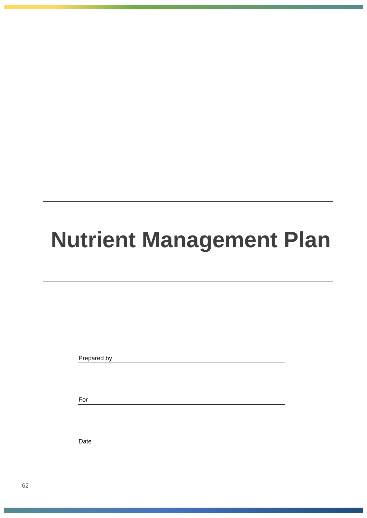# **Nutrient Management Plan**

Prepared by

For

Date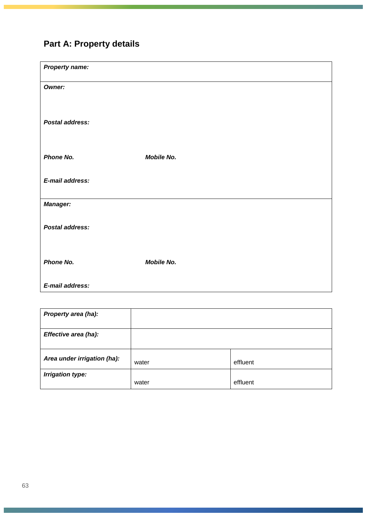# **Part A: Property details**

| <b>Property name:</b>  |                   |
|------------------------|-------------------|
| <b>Owner:</b>          |                   |
|                        |                   |
| <b>Postal address:</b> |                   |
|                        |                   |
| Phone No.              | <b>Mobile No.</b> |
|                        |                   |
| E-mail address:        |                   |
| <b>Manager:</b>        |                   |
| Postal address:        |                   |
|                        |                   |
| Phone No.              | <b>Mobile No.</b> |
|                        |                   |
| E-mail address:        |                   |

| Property area (ha):         |       |          |
|-----------------------------|-------|----------|
| Effective area (ha):        |       |          |
| Area under irrigation (ha): | water | effluent |
| <b>Irrigation type:</b>     | water | effluent |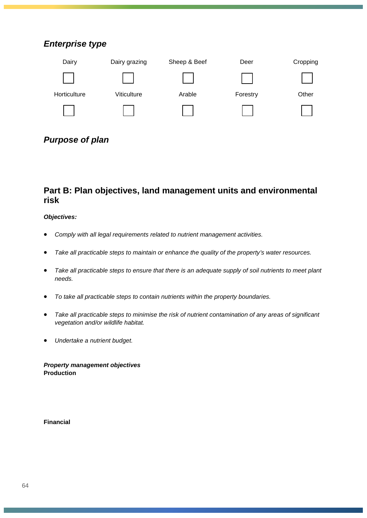### *Enterprise type*



### *Purpose of plan*

### **Part B: Plan objectives, land management units and environmental risk**

### *Objectives:*

- *Comply with all legal requirements related to nutrient management activities.*
- *Take all practicable steps to maintain or enhance the quality of the property's water resources.*
- *Take all practicable steps to ensure that there is an adequate supply of soil nutrients to meet plant needs.*
- *To take all practicable steps to contain nutrients within the property boundaries.*
- *Take all practicable steps to minimise the risk of nutrient contamination of any areas of significant vegetation and/or wildlife habitat.*
- *Undertake a nutrient budget.*

*Property management objectives* **Production**

**Financial**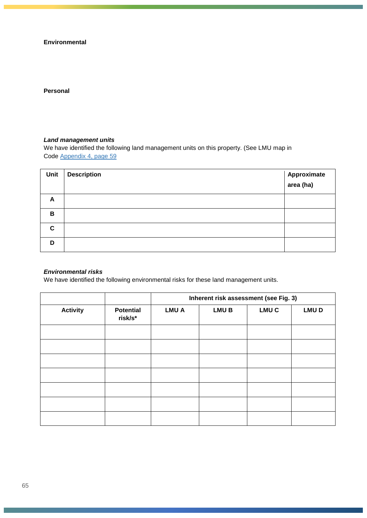**Environmental** 

### **Personal**

### *Land management units*

We have identified the following land management units on this property. (See LMU map in Code Appendix 4, page 59

| Unit        | <b>Description</b> | Approximate<br>area (ha) |
|-------------|--------------------|--------------------------|
| A           |                    |                          |
| B           |                    |                          |
| $\mathbf c$ |                    |                          |
| D           |                    |                          |

### *Environmental risks*

We have identified the following environmental risks for these land management units.

|                 |                             | Inherent risk assessment (see Fig. 3) |             |                  |             |
|-----------------|-----------------------------|---------------------------------------|-------------|------------------|-------------|
| <b>Activity</b> | <b>Potential</b><br>risk/s* | <b>LMUA</b>                           | <b>LMUB</b> | LMU <sub>C</sub> | <b>LMUD</b> |
|                 |                             |                                       |             |                  |             |
|                 |                             |                                       |             |                  |             |
|                 |                             |                                       |             |                  |             |
|                 |                             |                                       |             |                  |             |
|                 |                             |                                       |             |                  |             |
|                 |                             |                                       |             |                  |             |
|                 |                             |                                       |             |                  |             |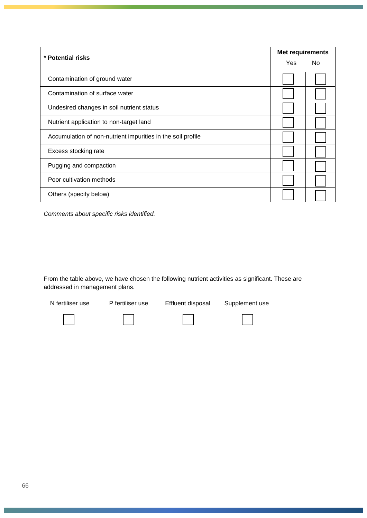| * Potential risks                                           |  | Met requirements |  |  |
|-------------------------------------------------------------|--|------------------|--|--|
|                                                             |  | No.              |  |  |
| Contamination of ground water                               |  |                  |  |  |
| Contamination of surface water                              |  |                  |  |  |
| Undesired changes in soil nutrient status                   |  |                  |  |  |
| Nutrient application to non-target land                     |  |                  |  |  |
| Accumulation of non-nutrient impurities in the soil profile |  |                  |  |  |
| Excess stocking rate                                        |  |                  |  |  |
| Pugging and compaction                                      |  |                  |  |  |
| Poor cultivation methods                                    |  |                  |  |  |
| Others (specify below)                                      |  |                  |  |  |

*Comments about specific risks identified.*

From the table above, we have chosen the following nutrient activities as significant. These are addressed in management plans.

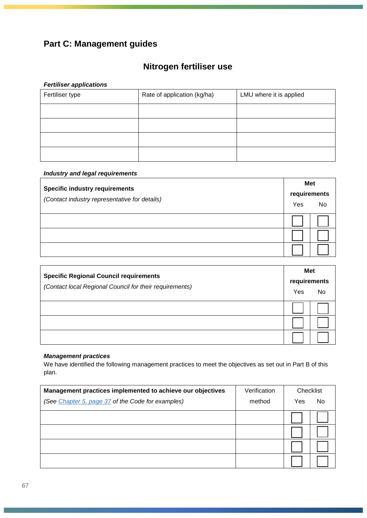## **Part C: Management guides**

# **Nitrogen fertiliser use**

### *Fertiliser applications*

| Fertiliser type | Rate of application (kg/ha) | LMU where it is applied |
|-----------------|-----------------------------|-------------------------|
|                 |                             |                         |
|                 |                             |                         |
|                 |                             |                         |
|                 |                             |                         |

### *Industry and legal requirements*

| <b>Specific industry requirements</b><br>(Contact industry representative for details) | Met          |    |
|----------------------------------------------------------------------------------------|--------------|----|
|                                                                                        | requirements |    |
|                                                                                        | Yes          | No |
|                                                                                        |              |    |
|                                                                                        |              |    |
|                                                                                        |              |    |

| <b>Specific Regional Council requirements</b><br>(Contact local Regional Council for their requirements) | Met          |    |
|----------------------------------------------------------------------------------------------------------|--------------|----|
|                                                                                                          | requirements |    |
|                                                                                                          | Yes          | No |
|                                                                                                          |              |    |
|                                                                                                          |              |    |
|                                                                                                          |              |    |

### *Management practices*

We have identified the following management practices to meet the objectives as set out in Part B of this plan.

| Management practices implemented to achieve our objectives | Verification | Checklist |     |
|------------------------------------------------------------|--------------|-----------|-----|
| (See Chapter 5, page 37 of the Code for examples)          | method       | Yes       | No. |
|                                                            |              |           |     |
|                                                            |              |           |     |
|                                                            |              |           |     |
|                                                            |              |           |     |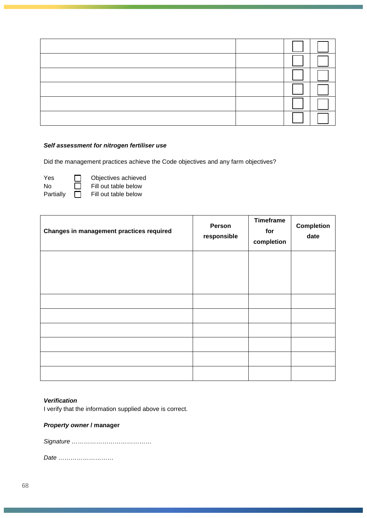### *Self assessment for nitrogen fertiliser use*

Did the management practices achieve the Code objectives and any farm objectives?

| Yes       | $\Box$       | Objectives achieve   |
|-----------|--------------|----------------------|
| N٥        | ΙI           | Fill out table below |
| Partially | $\mathbf{L}$ | Fill out table below |

| Dbjectives achieved  |
|----------------------|
| Fill out table below |
| Fill out table below |

| Changes in management practices required | Person<br>responsible | <b>Timeframe</b><br>for<br>completion | <b>Completion</b><br>date |
|------------------------------------------|-----------------------|---------------------------------------|---------------------------|
|                                          |                       |                                       |                           |
|                                          |                       |                                       |                           |
|                                          |                       |                                       |                           |
|                                          |                       |                                       |                           |
|                                          |                       |                                       |                           |
|                                          |                       |                                       |                           |
|                                          |                       |                                       |                           |
|                                          |                       |                                       |                           |
|                                          |                       |                                       |                           |

### *Verification*

I verify that the information supplied above is correct.

### *Property owner* **/ manager**

*Signature …………………………………*

*Date ………………………*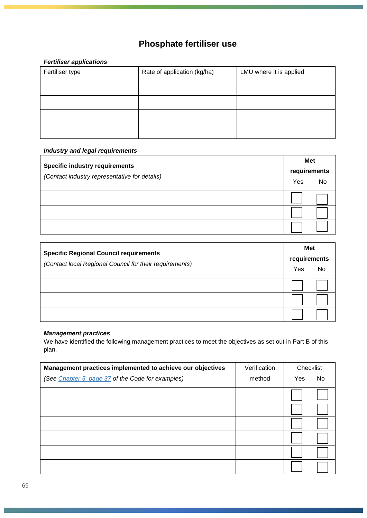# **Phosphate fertiliser use**

### *Fertiliser applications*

| Fertiliser type | Rate of application (kg/ha) | LMU where it is applied |
|-----------------|-----------------------------|-------------------------|
|                 |                             |                         |
|                 |                             |                         |
|                 |                             |                         |
|                 |                             |                         |

### *Industry and legal requirements*

| <b>Specific industry requirements</b><br>(Contact industry representative for details) | Met          |    |
|----------------------------------------------------------------------------------------|--------------|----|
|                                                                                        | requirements |    |
|                                                                                        | Yes          | No |
|                                                                                        |              |    |
|                                                                                        |              |    |
|                                                                                        |              |    |

| <b>Specific Regional Council requirements</b><br>(Contact local Regional Council for their requirements) | Met          |    |
|----------------------------------------------------------------------------------------------------------|--------------|----|
|                                                                                                          | requirements |    |
|                                                                                                          | Yes          | No |
|                                                                                                          |              |    |
|                                                                                                          |              |    |
|                                                                                                          |              |    |

### *Management practices*

We have identified the following management practices to meet the objectives as set out in Part B of this plan.

| Management practices implemented to achieve our objectives | Verification | Checklist |    |
|------------------------------------------------------------|--------------|-----------|----|
| (See <i>Chapter 5, page 37</i> of the Code for examples)   | method       | Yes       | No |
|                                                            |              |           |    |
|                                                            |              |           |    |
|                                                            |              |           |    |
|                                                            |              |           |    |
|                                                            |              |           |    |
|                                                            |              |           |    |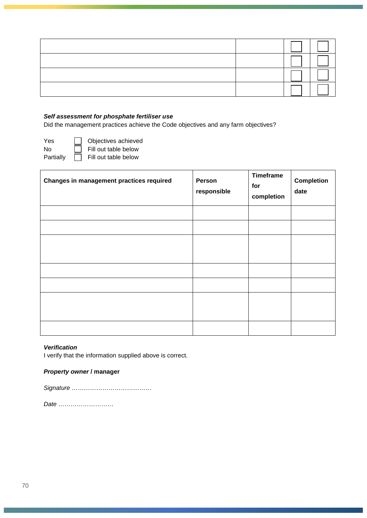### *Self assessment for phosphate fertiliser use*

Did the management practices achieve the Code objectives and any farm objectives?

Yes **D** Objectives achieved

No Fill out table below

Partially **Fill out table below** 

| Changes in management practices required | Person<br>responsible | <b>Timeframe</b><br>for<br>completion | <b>Completion</b><br>date |
|------------------------------------------|-----------------------|---------------------------------------|---------------------------|
|                                          |                       |                                       |                           |
|                                          |                       |                                       |                           |
|                                          |                       |                                       |                           |
|                                          |                       |                                       |                           |
|                                          |                       |                                       |                           |
|                                          |                       |                                       |                           |
|                                          |                       |                                       |                           |
|                                          |                       |                                       |                           |
|                                          |                       |                                       |                           |

### *Verification*

I verify that the information supplied above is correct.

### *Property owner* **/ manager**

|--|

*Date ………………………*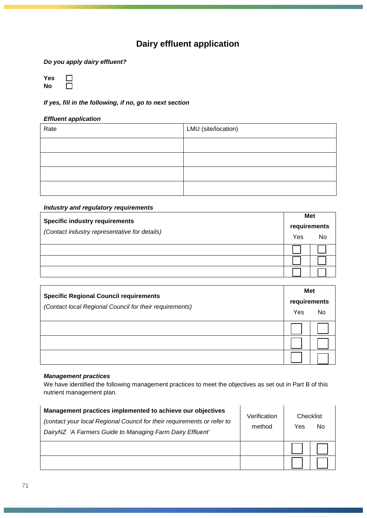### **Dairy effluent application**

*Do you apply dairy effluent?* 

**Yes**  $\Box$ **No**  $\Box$ 

*If yes, fill in the following, if no, go to next section* 

### *Effluent application*

| Rate | LMU (site/location) |
|------|---------------------|
|      |                     |
|      |                     |
|      |                     |
|      |                     |

### *Industry and regulatory requirements*

| <b>Specific industry requirements</b><br>(Contact industry representative for details) | Met |              |
|----------------------------------------------------------------------------------------|-----|--------------|
|                                                                                        |     | requirements |
|                                                                                        | Yes | No           |
|                                                                                        |     |              |
|                                                                                        |     |              |
|                                                                                        |     |              |

| <b>Specific Regional Council requirements</b><br>(Contact local Regional Council for their requirements) | Met<br>requirements<br>Yes<br>No |  |
|----------------------------------------------------------------------------------------------------------|----------------------------------|--|
|                                                                                                          |                                  |  |
|                                                                                                          |                                  |  |
|                                                                                                          |                                  |  |

### *Management practices*

We have identified the following management practices to meet the objectives as set out in Part B of this nutrient management plan.

| Management practices implemented to achieve our objectives<br>(contact your local Regional Council for their requirements or refer to<br>DairyNZ 'A Farmers Guide to Managing Farm Dairy Effluent' | Verification<br>method | Checklist<br>Yes | No |
|----------------------------------------------------------------------------------------------------------------------------------------------------------------------------------------------------|------------------------|------------------|----|
|                                                                                                                                                                                                    |                        |                  |    |
|                                                                                                                                                                                                    |                        |                  |    |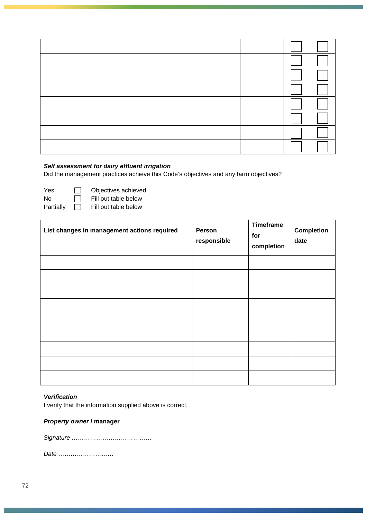### *Self assessment for dairy effluent irrigation*

Did the management practices achieve this Code's objectives and any farm objectives?

No  $\Box$  Fill out table below<br>Partially  $\Box$  Fill out table below

 $Y$ es  $\Box$  Objectives achieved<br>No  $\Box$  Fill out table below

Fill out table below

| List changes in management actions required | Person<br>responsible | <b>Timeframe</b><br>for<br>completion | <b>Completion</b><br>date |
|---------------------------------------------|-----------------------|---------------------------------------|---------------------------|
|                                             |                       |                                       |                           |
|                                             |                       |                                       |                           |
|                                             |                       |                                       |                           |
|                                             |                       |                                       |                           |
|                                             |                       |                                       |                           |
|                                             |                       |                                       |                           |
|                                             |                       |                                       |                           |
|                                             |                       |                                       |                           |
|                                             |                       |                                       |                           |

### *Verification*

I verify that the information supplied above is correct.

### *Property owner* **/ manager**

*Signature …………………………………*

*Date ………………………*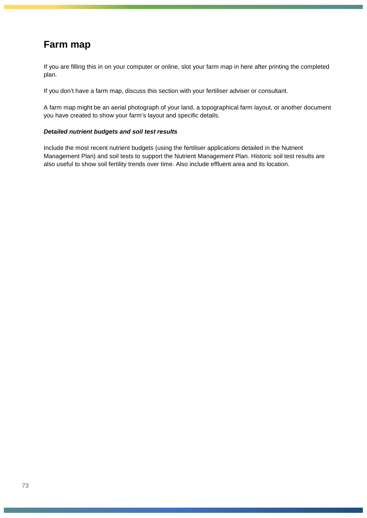## **Farm map**

If you are filling this in on your computer or online, slot your farm map in here after printing the completed plan.

If you don't have a farm map, discuss this section with your fertiliser adviser or consultant.

A farm map might be an aerial photograph of your land, a topographical farm layout, or another document you have created to show your farm's layout and specific details.

## *Detailed nutrient budgets and soil test results*

Include the most recent nutrient budgets (using the fertiliser applications detailed in the Nutrient Management Plan) and soil tests to support the Nutrient Management Plan. Historic soil test results are also useful to show soil fertility trends over time. Also include effluent area and its location.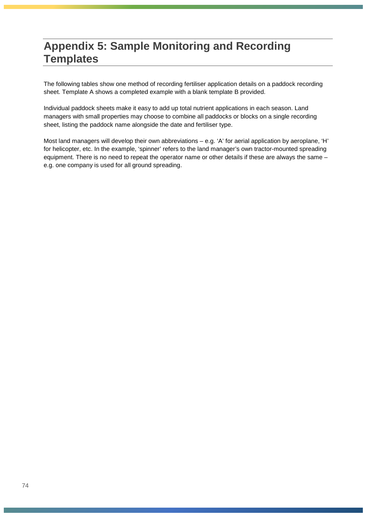## **Appendix 5: Sample Monitoring and Recording Templates**

The following tables show one method of recording fertiliser application details on a paddock recording sheet. Template A shows a completed example with a blank template B provided.

Individual paddock sheets make it easy to add up total nutrient applications in each season. Land managers with small properties may choose to combine all paddocks or blocks on a single recording sheet, listing the paddock name alongside the date and fertiliser type.

Most land managers will develop their own abbreviations – e.g. 'A' for aerial application by aeroplane, 'H' for helicopter, etc. In the example, 'spinner' refers to the land manager's own tractor-mounted spreading equipment. There is no need to repeat the operator name or other details if these are always the same – e.g. one company is used for all ground spreading.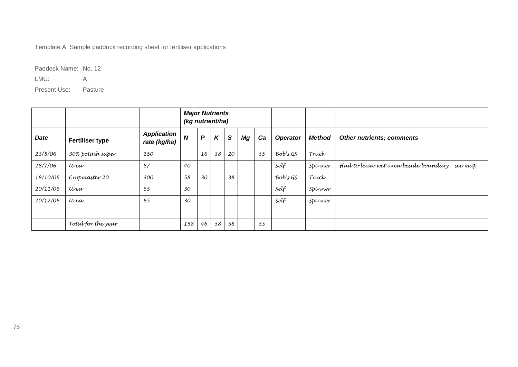Template A: Sample paddock recording sheet for fertiliser applications

Paddock Name: No. 12

LMU: A

Present Use: Pasture

|          |                        |                                    | <b>Major Nutrients</b><br>(kg nutrient/ha) |              |                           |          |    |    |                 |               |                                                 |
|----------|------------------------|------------------------------------|--------------------------------------------|--------------|---------------------------|----------|----|----|-----------------|---------------|-------------------------------------------------|
| Date     | <b>Fertiliser type</b> | <b>Application</b><br>rate (kg/ha) | $\boldsymbol{N}$                           | $\mathsf{P}$ | $\boldsymbol{\mathsf{K}}$ | <b>S</b> | Mg | Ca | <b>Operator</b> | <b>Method</b> | Other nutrients; comments                       |
| 23/5/06  | 30% potash super       | 250                                |                                            | 16           | 38                        | 20       |    | 35 | Bob'sGS         | Truck         |                                                 |
| 28/7/06  | Urea                   | 87                                 | 40                                         |              |                           |          |    |    | Self            | Spinner       | Had to leave wet area beside boundary - see map |
| 18/10/06 | Cropmaster 20          | 300                                | 58                                         | 30           |                           | 38       |    |    | Bob'sGS         | Truck         |                                                 |
| 20/11/06 | Urea                   | 65                                 | 30                                         |              |                           |          |    |    | Self            | Spinner       |                                                 |
| 20/12/06 | Urea                   | 65                                 | 30                                         |              |                           |          |    |    | Self            | Spinner       |                                                 |
|          |                        |                                    |                                            |              |                           |          |    |    |                 |               |                                                 |
|          | Total for the year     |                                    | 158                                        | 46           | 38                        | 58       |    | 35 |                 |               |                                                 |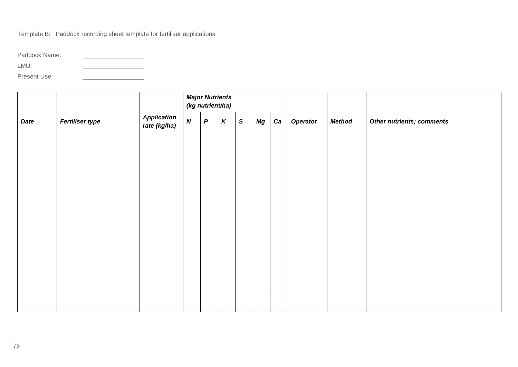Template B: Paddock recording sheet template for fertiliser applications

Paddock Name: \_\_\_\_\_\_\_\_\_\_\_\_\_\_\_\_\_\_

 $LMU:$ 

Present Use: \_\_\_\_\_\_\_\_\_\_\_\_\_\_\_\_\_\_

|             |                        |                                    |                  | <b>Major Nutrients</b><br>(kg nutrient/ha) |                    |              |    |    |                 |               |                                  |
|-------------|------------------------|------------------------------------|------------------|--------------------------------------------|--------------------|--------------|----|----|-----------------|---------------|----------------------------------|
| <b>Date</b> | <b>Fertiliser type</b> | <b>Application</b><br>rate (kg/ha) | $\boldsymbol{N}$ | $\boldsymbol{P}$                           | $\pmb{\mathsf{K}}$ | $\mathsf{s}$ | Mg | Ca | <b>Operator</b> | <b>Method</b> | <b>Other nutrients; comments</b> |
|             |                        |                                    |                  |                                            |                    |              |    |    |                 |               |                                  |
|             |                        |                                    |                  |                                            |                    |              |    |    |                 |               |                                  |
|             |                        |                                    |                  |                                            |                    |              |    |    |                 |               |                                  |
|             |                        |                                    |                  |                                            |                    |              |    |    |                 |               |                                  |
|             |                        |                                    |                  |                                            |                    |              |    |    |                 |               |                                  |
|             |                        |                                    |                  |                                            |                    |              |    |    |                 |               |                                  |
|             |                        |                                    |                  |                                            |                    |              |    |    |                 |               |                                  |
|             |                        |                                    |                  |                                            |                    |              |    |    |                 |               |                                  |
|             |                        |                                    |                  |                                            |                    |              |    |    |                 |               |                                  |
|             |                        |                                    |                  |                                            |                    |              |    |    |                 |               |                                  |